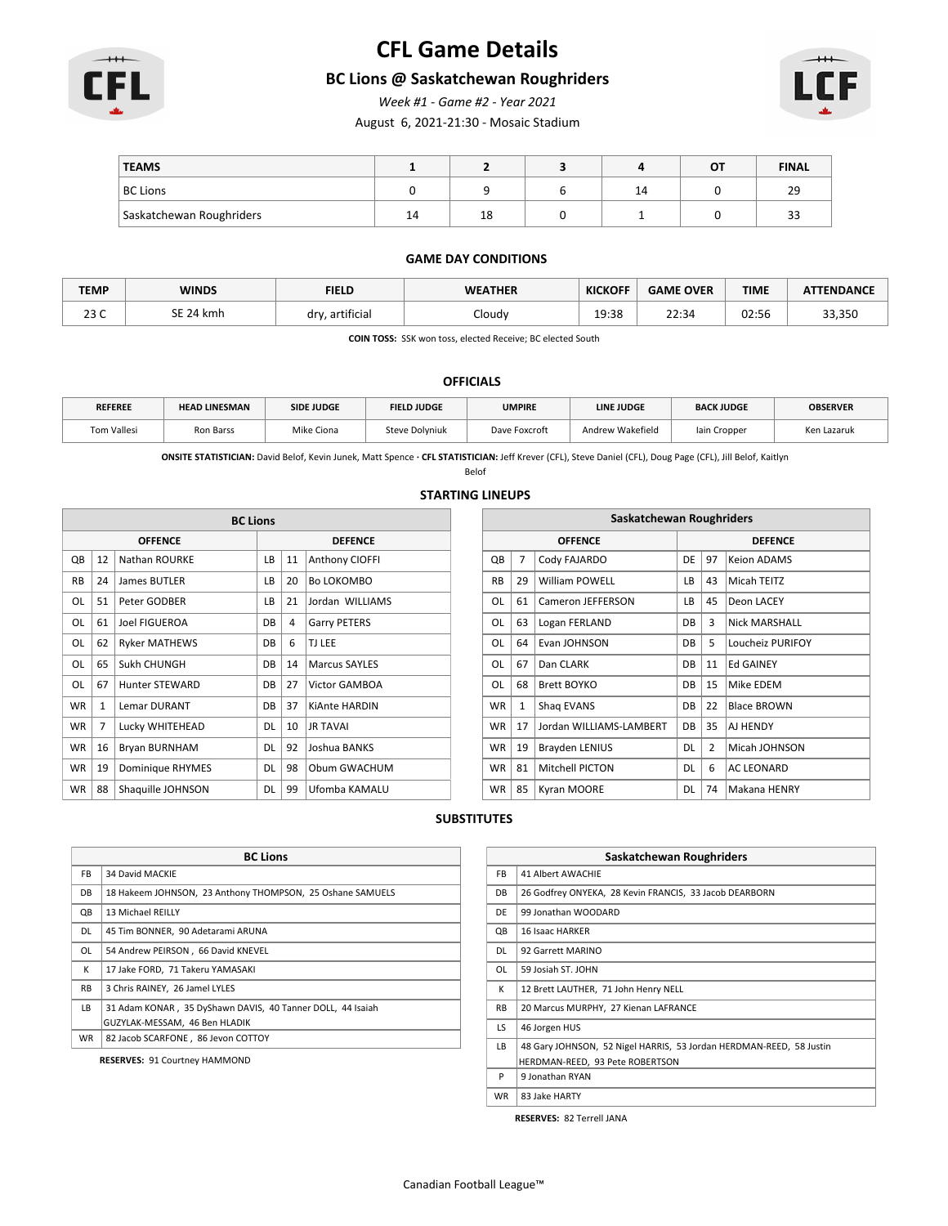

# **CFL Game Details**

### **BC Lions @ Saskatchewan Roughriders**

*Week #1 - Game #2 - Year 2021*

August 6, 2021-21:30 - Mosaic Stadium



| <b>TEAMS</b>             |    |    |                                | OT | <b>FINAL</b> |
|--------------------------|----|----|--------------------------------|----|--------------|
| <b>BC Lions</b>          |    |    | $\overline{\phantom{a}}$<br>14 |    | 29           |
| Saskatchewan Roughriders | 14 | 18 |                                |    | $\sim$<br>33 |

#### **GAME DAY CONDITIONS**

| <b>TEMP</b>    | <b>WINDS</b>       | <b>FIELD</b>         | <b>WEATHER</b> | <b>KICKOFF</b> | <b>GAME OVER</b> | <b>TIME</b> | <b>ATTENDANCE</b> |
|----------------|--------------------|----------------------|----------------|----------------|------------------|-------------|-------------------|
| $\sim$<br>20 U | SE 24 k<br>-24 kmh | . artificial<br>drv. | Cloudy         | 19:38          | 22:34            | 02:56       | 33,350            |

**COIN TOSS:** SSK won toss, elected Receive; BC elected South

#### **OFFICIALS**

| <b>REFEREE</b> | <b>HEAD LINESMAN</b> | <b>SIDE JUDGE</b> | <b>FIELD JUDGE</b>    | <b>UMPIRE</b> | <b>LINE JUDGE</b> | <b>BACK JUDGE</b> | <b>OBSERVER</b> |
|----------------|----------------------|-------------------|-----------------------|---------------|-------------------|-------------------|-----------------|
| Tom Vallesi    | Ron Barss            | Mike Ciona        | <b>Steve Dolyniuk</b> | Dave Foxcroft | Andrew Wakefield  | lain Cropper      | Ken Lazaruk     |

**ONSITE STATISTICIAN:** David Belof, Kevin Junek, Matt Spence **· CFL STATISTICIAN:** Jeff Krever (CFL), Steve Daniel (CFL), Doug Page (CFL), Jill Belof, Kaitlyn

Belof

#### **STARTING LINEUPS**

|                | <b>BC Lions</b> |                       |                |    |                       |  |  |  |  |
|----------------|-----------------|-----------------------|----------------|----|-----------------------|--|--|--|--|
| <b>OFFENCE</b> |                 |                       | <b>DEFENCE</b> |    |                       |  |  |  |  |
| QB             | 12              | Nathan ROURKE         | LB             | 11 | <b>Anthony CIOFFI</b> |  |  |  |  |
| <b>RB</b>      | 24              | James BUTLER          | LB             | 20 | Bo LOKOMBO            |  |  |  |  |
| OL             | 51              | Peter GODBER          | LB             | 21 | Jordan WILLIAMS       |  |  |  |  |
| OL             | 61              | Joel FIGUEROA         | DB             | 4  | <b>Garry PETERS</b>   |  |  |  |  |
| OL             | 62              | <b>Ryker MATHEWS</b>  | <b>DB</b>      | 6  | TJ LEE                |  |  |  |  |
| OL             | 65              | Sukh CHUNGH           | DB             | 14 | <b>Marcus SAYLES</b>  |  |  |  |  |
| OL             | 67              | <b>Hunter STEWARD</b> | DB             | 27 | Victor GAMBOA         |  |  |  |  |
| <b>WR</b>      | $\mathbf{1}$    | <b>Lemar DURANT</b>   | DB             | 37 | <b>KiAnte HARDIN</b>  |  |  |  |  |
| <b>WR</b>      | 7               | Lucky WHITEHEAD       | <b>DL</b>      | 10 | <b>JR TAVAI</b>       |  |  |  |  |
| <b>WR</b>      | 16              | Bryan BURNHAM         | DL             | 92 | Joshua BANKS          |  |  |  |  |
| <b>WR</b>      | 19              | Dominique RHYMES      | DL             | 98 | Obum GWACHUM          |  |  |  |  |
| <b>WR</b>      | 88              | Shaquille JOHNSON     | DL             | 99 | Ufomba KAMALU         |  |  |  |  |

| <b>BC Lions</b> |                |    | Saskatchewan Roughriders |                |              |                         |           |                |                      |
|-----------------|----------------|----|--------------------------|----------------|--------------|-------------------------|-----------|----------------|----------------------|
|                 | <b>DEFENCE</b> |    |                          | <b>OFFENCE</b> |              | <b>DEFENCE</b>          |           |                |                      |
|                 | LB             | 11 | Anthony CIOFFI           | QB             | 7            | Cody FAJARDO            | DE        | 97             | <b>Keion ADAMS</b>   |
|                 | LB             | 20 | Bo LOKOMBO               | <b>RB</b>      | 29           | <b>William POWELL</b>   | LB        | 43             | Micah TEITZ          |
|                 | LB.            | 21 | Jordan WILLIAMS          | <b>OL</b>      | 61           | Cameron JEFFERSON       | LB        | 45             | Deon LACEY           |
|                 | DB             | 4  | <b>Garry PETERS</b>      | 0L             | 63           | Logan FERLAND           | <b>DB</b> | 3              | <b>Nick MARSHALL</b> |
|                 | DB             | 6  | TJ LEE                   | <b>OL</b>      | 64           | Evan JOHNSON            | DB        | .5             | Loucheiz PURIFOY     |
|                 | DB             | 14 | <b>Marcus SAYLES</b>     | 0L             | 67           | Dan CLARK               | DB        | 11             | <b>Ed GAINEY</b>     |
|                 | DB             | 27 | Victor GAMBOA            | OL             | 68           | Brett BOYKO             | DB        | 15             | Mike EDEM            |
|                 | DB             | 37 | KiAnte HARDIN            | <b>WR</b>      | $\mathbf{1}$ | Shag EVANS              | DB        | 22             | <b>Blace BROWN</b>   |
|                 | <b>DL</b>      | 10 | <b>JR TAVAI</b>          | <b>WR</b>      | 17           | Jordan WILLIAMS-LAMBERT | DB        | 35             | AJ HENDY             |
|                 | <b>DL</b>      | 92 | Joshua BANKS             | <b>WR</b>      | 19           | <b>Brayden LENIUS</b>   | DL        | $\overline{2}$ | Micah JOHNSON        |
|                 | DL             | 98 | Obum GWACHUM             | <b>WR</b>      | 81           | <b>Mitchell PICTON</b>  | DL        | 6              | <b>AC LEONARD</b>    |
|                 | DL             | 99 | Ufomba KAMALU            | <b>WR</b>      | 85           | Kyran MOORE             | DL        | 74             | Makana HENRY         |

#### **SUBSTITUTES**

|           | <b>BC Lions</b>                                            |  |  |  |  |  |
|-----------|------------------------------------------------------------|--|--|--|--|--|
| FB.       | 34 David MACKIE                                            |  |  |  |  |  |
| DB        | 18 Hakeem JOHNSON, 23 Anthony THOMPSON, 25 Oshane SAMUELS  |  |  |  |  |  |
| QB        | 13 Michael REILLY                                          |  |  |  |  |  |
| DL        | 45 Tim BONNER, 90 Adetarami ARUNA                          |  |  |  |  |  |
| OL        | 54 Andrew PEIRSON, 66 David KNEVEL                         |  |  |  |  |  |
| К         | 17 Jake FORD, 71 Takeru YAMASAKI                           |  |  |  |  |  |
| <b>RB</b> | 3 Chris RAINEY, 26 Jamel LYLES                             |  |  |  |  |  |
| LB.       | 31 Adam KONAR, 35 DyShawn DAVIS, 40 Tanner DOLL, 44 Isaiah |  |  |  |  |  |
|           | GUZYLAK-MESSAM, 46 Ben HLADIK                              |  |  |  |  |  |
| <b>WR</b> | 82 Jacob SCARFONE, 86 Jevon COTTOY                         |  |  |  |  |  |
|           | <b>RESERVES: 91 Courtney HAMMOND</b>                       |  |  |  |  |  |

|           | Saskatchewan Roughriders                                            |  |  |  |  |  |  |
|-----------|---------------------------------------------------------------------|--|--|--|--|--|--|
| FB.       | 41 Albert AWACHIE                                                   |  |  |  |  |  |  |
| DB        | 26 Godfrey ONYEKA, 28 Kevin FRANCIS, 33 Jacob DEARBORN              |  |  |  |  |  |  |
| DF        | 99 Jonathan WOODARD                                                 |  |  |  |  |  |  |
| QB        | 16 Isaac HARKER                                                     |  |  |  |  |  |  |
| DL        | 92 Garrett MARINO                                                   |  |  |  |  |  |  |
| OL        | 59 Josiah ST. JOHN                                                  |  |  |  |  |  |  |
| К         | 12 Brett LAUTHER, 71 John Henry NELL                                |  |  |  |  |  |  |
| <b>RB</b> | 20 Marcus MURPHY, 27 Kienan LAFRANCE                                |  |  |  |  |  |  |
| LS.       | 46 Jorgen HUS                                                       |  |  |  |  |  |  |
| LB        | 48 Gary JOHNSON, 52 Nigel HARRIS, 53 Jordan HERDMAN-REED, 58 Justin |  |  |  |  |  |  |
|           | HERDMAN-REED, 93 Pete ROBERTSON                                     |  |  |  |  |  |  |
| P         | 9 Jonathan RYAN                                                     |  |  |  |  |  |  |
| <b>WR</b> | 83 Jake HARTY                                                       |  |  |  |  |  |  |

**RESERVES:** 82 Terrell JANA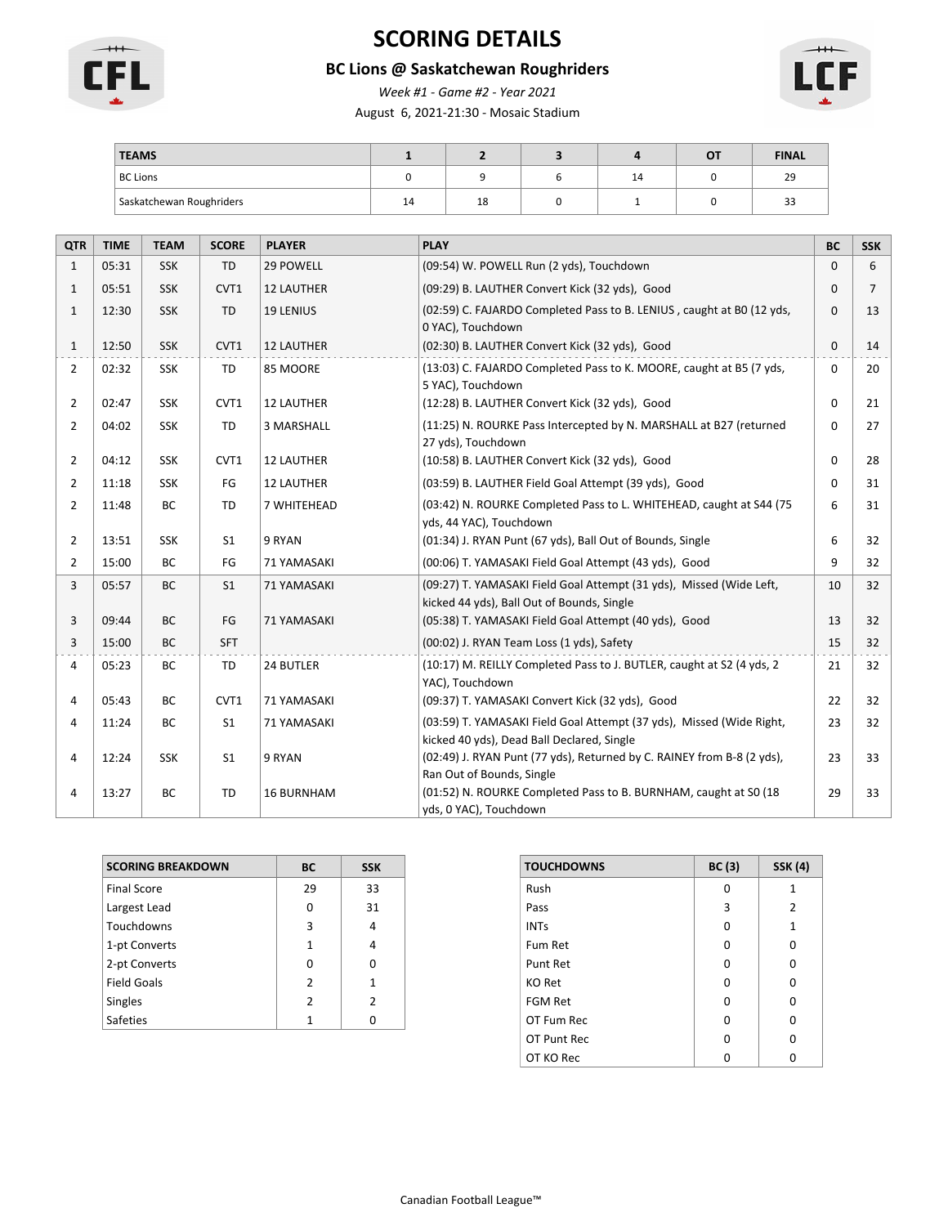

# **SCORING DETAILS**

### **BC Lions @ Saskatchewan Roughriders**

*Week #1 - Game #2 - Year 2021*

August 6, 2021-21:30 - Mosaic Stadium



| <b>TEAMS</b>             |    |    |    | ОТ | <b>FINAL</b> |
|--------------------------|----|----|----|----|--------------|
| <b>BC Lions</b>          |    |    | 14 |    | 29           |
| Saskatchewan Roughriders | 14 | 18 |    |    | ر ر          |

| <b>QTR</b>     | <b>TIME</b> | <b>TEAM</b> | <b>SCORE</b>   | <b>PLAYER</b>     | <b>PLAY</b>                                                                                                        | <b>BC</b> | <b>SSK</b> |
|----------------|-------------|-------------|----------------|-------------------|--------------------------------------------------------------------------------------------------------------------|-----------|------------|
| $\mathbf{1}$   | 05:31       | <b>SSK</b>  | TD             | 29 POWELL         | (09:54) W. POWELL Run (2 yds), Touchdown                                                                           | $\Omega$  | 6          |
| $\mathbf{1}$   | 05:51       | <b>SSK</b>  | CVT1           | <b>12 LAUTHER</b> | (09:29) B. LAUTHER Convert Kick (32 yds), Good                                                                     |           | 7          |
| $\mathbf{1}$   | 12:30       | <b>SSK</b>  | <b>TD</b>      | <b>19 LENIUS</b>  | (02:59) C. FAJARDO Completed Pass to B. LENIUS, caught at B0 (12 yds,<br>0 YAC), Touchdown                         | $\Omega$  | 13         |
| $\mathbf{1}$   | 12:50       | <b>SSK</b>  | CVT1           | <b>12 LAUTHER</b> | (02:30) B. LAUTHER Convert Kick (32 yds), Good                                                                     | $\Omega$  | 14         |
| $\overline{2}$ | 02:32       | <b>SSK</b>  | <b>TD</b>      | 85 MOORE          | (13:03) C. FAJARDO Completed Pass to K. MOORE, caught at B5 (7 yds,<br>5 YAC), Touchdown                           | $\Omega$  | 20         |
| $\overline{2}$ | 02:47       | <b>SSK</b>  | CVT1           | <b>12 LAUTHER</b> | (12:28) B. LAUTHER Convert Kick (32 yds), Good                                                                     | $\Omega$  | 21         |
| $\overline{2}$ | 04:02       | <b>SSK</b>  | TD             | 3 MARSHALL        | (11:25) N. ROURKE Pass Intercepted by N. MARSHALL at B27 (returned<br>27 yds), Touchdown                           | $\Omega$  | 27         |
| $\overline{2}$ | 04:12       | <b>SSK</b>  | CVT1           | <b>12 LAUTHER</b> | (10:58) B. LAUTHER Convert Kick (32 yds), Good                                                                     | $\Omega$  | 28         |
| $\overline{2}$ | 11:18       | <b>SSK</b>  | FG             | <b>12 LAUTHER</b> | (03:59) B. LAUTHER Field Goal Attempt (39 yds), Good                                                               | $\Omega$  | 31         |
| $\overline{2}$ | 11:48       | <b>BC</b>   | <b>TD</b>      | 7 WHITEHEAD       | (03:42) N. ROURKE Completed Pass to L. WHITEHEAD, caught at S44 (75)<br>yds, 44 YAC), Touchdown                    | 6         | 31         |
| $\overline{2}$ | 13:51       | <b>SSK</b>  | S <sub>1</sub> | 9 RYAN            | (01:34) J. RYAN Punt (67 yds), Ball Out of Bounds, Single                                                          | 6         | 32         |
| $\overline{2}$ | 15:00       | BC          | FG             | 71 YAMASAKI       | (00:06) T. YAMASAKI Field Goal Attempt (43 yds), Good                                                              | 9         | 32         |
| 3              | 05:57       | BC          | S <sub>1</sub> | 71 YAMASAKI       | (09:27) T. YAMASAKI Field Goal Attempt (31 yds), Missed (Wide Left,<br>kicked 44 yds), Ball Out of Bounds, Single  | 10        | 32         |
| 3              | 09:44       | <b>BC</b>   | FG             | 71 YAMASAKI       | (05:38) T. YAMASAKI Field Goal Attempt (40 yds), Good                                                              | 13        | 32         |
| 3              | 15:00       | <b>BC</b>   | <b>SFT</b>     |                   | (00:02) J. RYAN Team Loss (1 yds), Safety                                                                          | 15        | 32         |
| 4              | 05:23       | BC          | <b>TD</b>      | 24 BUTLER         | (10:17) M. REILLY Completed Pass to J. BUTLER, caught at S2 (4 yds, 2<br>YAC), Touchdown                           | 21        | 32         |
| 4              | 05:43       | BC          | CVT1           | 71 YAMASAKI       | (09:37) T. YAMASAKI Convert Kick (32 yds), Good                                                                    | 22        | 32         |
| 4              | 11:24       | <b>BC</b>   | S <sub>1</sub> | 71 YAMASAKI       | (03:59) T. YAMASAKI Field Goal Attempt (37 yds), Missed (Wide Right,<br>kicked 40 yds), Dead Ball Declared, Single | 23        | 32         |
| 4              | 12:24       | <b>SSK</b>  | S <sub>1</sub> | 9 RYAN            | (02:49) J. RYAN Punt (77 yds), Returned by C. RAINEY from B-8 (2 yds),<br>Ran Out of Bounds, Single                | 23        | 33         |
| 4              | 13:27       | BC          | <b>TD</b>      | <b>16 BURNHAM</b> | (01:52) N. ROURKE Completed Pass to B. BURNHAM, caught at S0 (18)<br>yds, 0 YAC), Touchdown                        | 29        | 33         |

| <b>SCORING BREAKDOWN</b> | BC            | <b>SSK</b>     |
|--------------------------|---------------|----------------|
| <b>Final Score</b>       | 29            | 33             |
| Largest Lead             | ŋ             | 31             |
| Touchdowns               | 3             | 4              |
| 1-pt Converts            | 1             | 4              |
| 2-pt Converts            | O             | n              |
| <b>Field Goals</b>       | 2             | 1              |
| Singles                  | $\mathcal{P}$ | $\mathfrak{p}$ |
| <b>Safeties</b>          | 1             |                |

| <b>TOUCHDOWNS</b> | BC(3) | <b>SSK (4)</b> |
|-------------------|-------|----------------|
| Rush              | O     | 1              |
| Pass              | 3     | 2              |
| <b>INTs</b>       | O     | 1              |
| Fum Ret           | O     | O              |
| Punt Ret          | O     | O              |
| <b>KO Ret</b>     | O     | O              |
| <b>FGM Ret</b>    | O     | ŋ              |
| OT Fum Rec        | O     | O              |
| OT Punt Rec       | O     | U              |
| OT KO Rec         |       |                |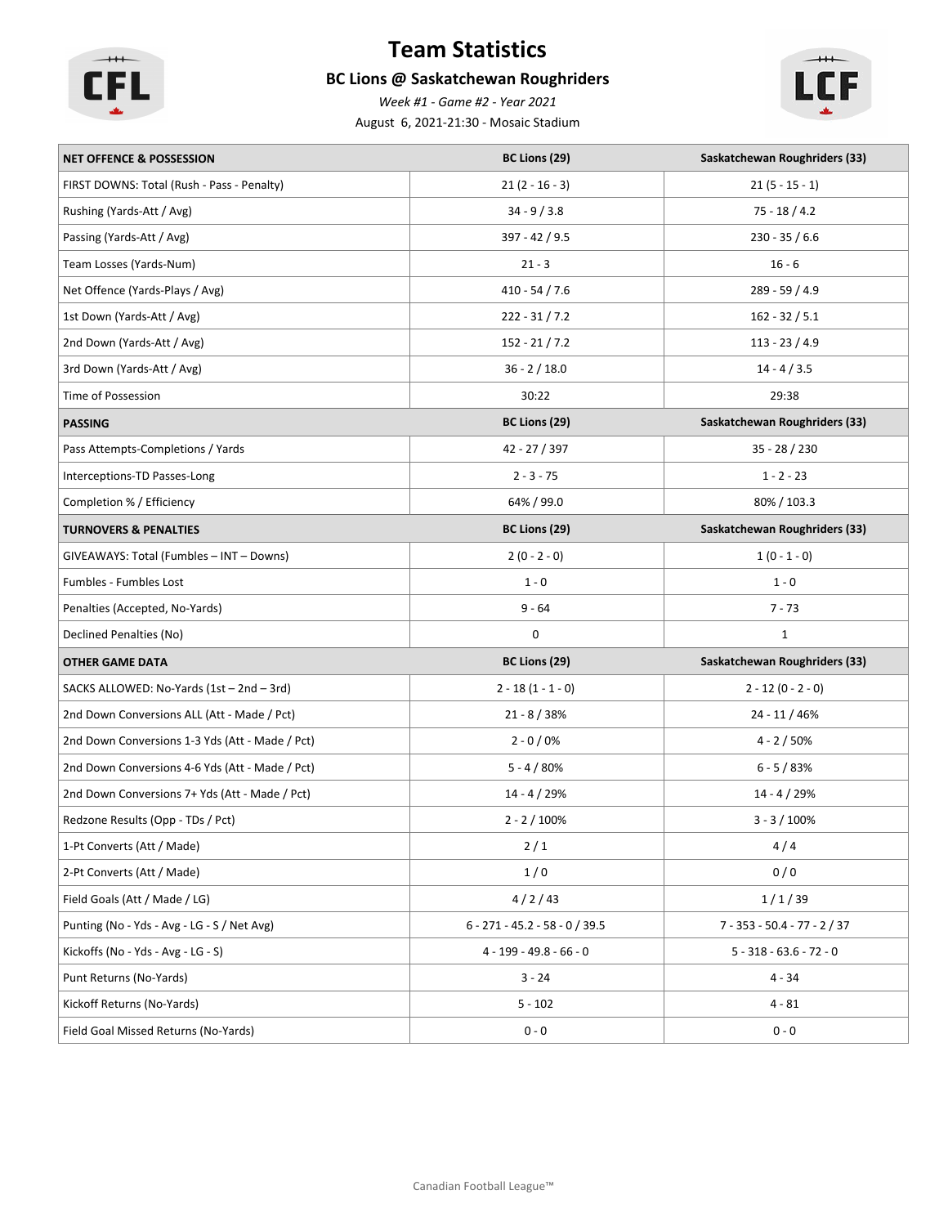

# **Team Statistics**

### **BC Lions @ Saskatchewan Roughriders**

August 6, 2021-21:30 - Mosaic Stadium *Week #1 - Game #2 - Year 2021*



| <b>NET OFFENCE &amp; POSSESSION</b>             | BC Lions (29)                    | Saskatchewan Roughriders (33)        |
|-------------------------------------------------|----------------------------------|--------------------------------------|
| FIRST DOWNS: Total (Rush - Pass - Penalty)      | $21(2 - 16 - 3)$                 | $21(5 - 15 - 1)$                     |
| Rushing (Yards-Att / Avg)                       | $34 - 9 / 3.8$                   | $75 - 18 / 4.2$                      |
| Passing (Yards-Att / Avg)                       | 397 - 42 / 9.5                   | $230 - 35 / 6.6$                     |
| Team Losses (Yards-Num)                         | $21 - 3$                         | $16 - 6$                             |
| Net Offence (Yards-Plays / Avg)                 | $410 - 54 / 7.6$                 | 289 - 59 / 4.9                       |
| 1st Down (Yards-Att / Avg)                      | $222 - 31 / 7.2$                 | $162 - 32 / 5.1$                     |
| 2nd Down (Yards-Att / Avg)                      | $152 - 21 / 7.2$                 | $113 - 23 / 4.9$                     |
| 3rd Down (Yards-Att / Avg)                      | $36 - 2 / 18.0$                  | $14 - 4 / 3.5$                       |
| Time of Possession                              | 30:22                            | 29:38                                |
| <b>PASSING</b>                                  | BC Lions (29)                    | Saskatchewan Roughriders (33)        |
| Pass Attempts-Completions / Yards               | 42 - 27 / 397                    | $35 - 28 / 230$                      |
| Interceptions-TD Passes-Long                    | $2 - 3 - 75$                     | $1 - 2 - 23$                         |
| Completion % / Efficiency                       | 64% / 99.0                       | 80% / 103.3                          |
| <b>TURNOVERS &amp; PENALTIES</b>                | BC Lions (29)                    | <b>Saskatchewan Roughriders (33)</b> |
| GIVEAWAYS: Total (Fumbles - INT - Downs)        | $2(0 - 2 - 0)$                   | $1(0 - 1 - 0)$                       |
| Fumbles - Fumbles Lost                          | $1 - 0$                          | $1 - 0$                              |
| Penalties (Accepted, No-Yards)                  | $9 - 64$                         | $7 - 73$                             |
| Declined Penalties (No)                         | 0                                | $\mathbf{1}$                         |
| <b>OTHER GAME DATA</b>                          | BC Lions (29)                    | Saskatchewan Roughriders (33)        |
| SACKS ALLOWED: No-Yards (1st - 2nd - 3rd)       | $2 - 18(1 - 1 - 0)$              | $2 - 12 (0 - 2 - 0)$                 |
| 2nd Down Conversions ALL (Att - Made / Pct)     | $21 - 8 / 38%$                   | 24 - 11 / 46%                        |
| 2nd Down Conversions 1-3 Yds (Att - Made / Pct) | $2 - 0 / 0\%$                    | $4 - 2 / 50\%$                       |
| 2nd Down Conversions 4-6 Yds (Att - Made / Pct) | $5 - 4 / 80%$                    | $6 - 5 / 83%$                        |
| 2nd Down Conversions 7+ Yds (Att - Made / Pct)  | 14 - 4 / 29%                     | $14 - 4 / 29%$                       |
| Redzone Results (Opp - TDs / Pct)               | $2 - 2 / 100\%$                  | $3 - 3 / 100\%$                      |
| 1-Pt Converts (Att / Made)                      | $2/1$                            | 4/4                                  |
| 2-Pt Converts (Att / Made)                      | 1/0                              | 0/0                                  |
| Field Goals (Att / Made / LG)                   | 4/2/43                           | 1/1/39                               |
| Punting (No - Yds - Avg - LG - S / Net Avg)     | $6 - 271 - 45.2 - 58 - 0 / 39.5$ | $7 - 353 - 50.4 - 77 - 2 / 37$       |
| Kickoffs (No - Yds - Avg - LG - S)              | $4 - 199 - 49.8 - 66 - 0$        | $5 - 318 - 63.6 - 72 - 0$            |
| Punt Returns (No-Yards)                         | $3 - 24$                         | $4 - 34$                             |
| Kickoff Returns (No-Yards)                      | $5 - 102$                        | $4 - 81$                             |
|                                                 |                                  |                                      |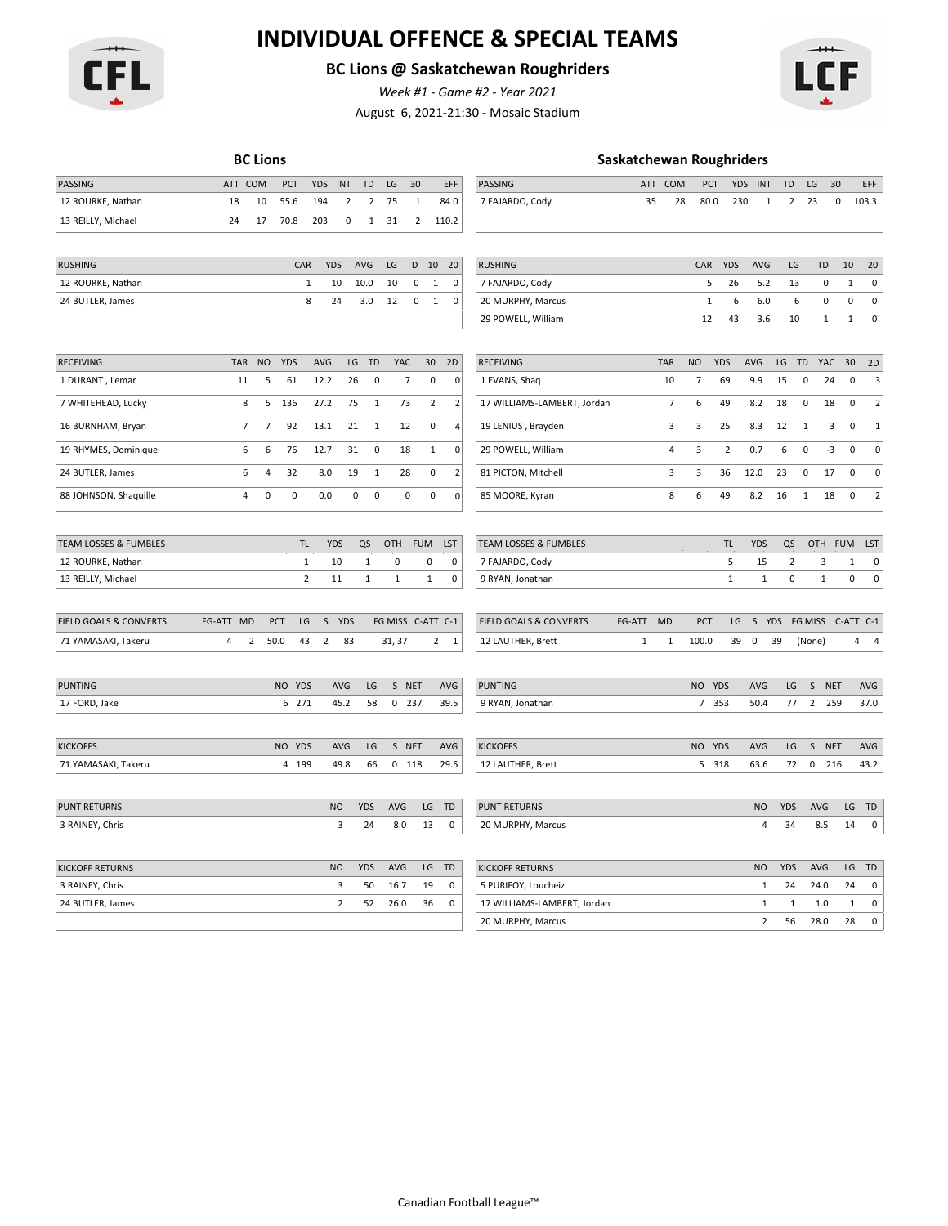

# **INDIVIDUAL OFFENCE & SPECIAL TEAMS**

### **BC Lions @ Saskatchewan Roughriders**

August 6, 2021-21:30 - Mosaic Stadium *Week #1 - Game #2 - Year 2021*

| PCT<br>LG<br>30<br>EFF<br>PASSING<br>PCT<br>30<br>EFF<br>PASSING<br>ATT COM<br><b>YDS</b><br><b>INT</b><br>TD<br>ATT COM<br><b>YDS</b><br><b>INT</b><br>TD<br>LG<br>35<br>103.3<br>12 ROURKE, Nathan<br>18<br>10<br>55.6<br>194<br>$\overline{2}$<br>$\overline{2}$<br>75<br>84.0<br>7 FAJARDO, Cody<br>28<br>80.0<br>230<br>$\overline{2}$<br>23<br>0<br>1<br>1<br>13 REILLY, Michael<br>24<br>17<br>70.8<br>203<br>$\pmb{0}$<br>$\mathbf{1}$<br>$\overline{2}$<br>110.2<br>31<br><b>RUSHING</b><br>CAR<br><b>YDS</b><br>AVG<br>$\mathsf{LG}\,$<br>TD<br>10<br><b>RUSHING</b><br>CAR<br><b>YDS</b><br>20<br>20<br>AVG<br>LG<br>TD<br>10<br>10.0<br>10<br>$\mathbf 0$<br>5<br>26<br>5.2<br>$\mathbf 0$<br>$\pmb{0}$<br>12 ROURKE, Nathan<br>$\mathbf{1}$<br>10<br>1<br>0<br>7 FAJARDO, Cody<br>13<br>1<br>8<br>0<br>$\mathbf 0$<br>$\mathbf 0$<br>24 BUTLER, James<br>24<br>3.0<br>12<br>$\mathbf{1}$<br>$\pmb{0}$<br>$1\,$<br>6<br>6.0<br>6<br>$\mathbf 0$<br>20 MURPHY, Marcus<br>29 POWELL, William<br>12<br>43<br>3.6<br>10<br>$\mathbf{1}$<br>$\mathbf{1}$<br>$\pmb{0}$<br><b>NO</b><br><b>YDS</b><br>AVG<br>LG<br>TD<br>YAC<br>30 <sup>°</sup><br>2D<br><b>TAR</b><br><b>NO</b><br><b>YDS</b><br>AVG<br>LG<br>YAC<br>30<br><b>RECEIVING</b><br>TAR<br><b>RECEIVING</b><br>TD<br>2D<br>$\pmb{0}$<br>7<br>0<br>$\mathbf 0$<br>7<br>9.9<br>15<br>$\pmb{0}$<br>1 DURANT, Lemar<br>11<br>5<br>61<br>12.2<br>26<br>10<br>69<br>0<br>24<br>3<br>1 EVANS, Shaq<br>136<br>$\overline{2}$<br>$\overline{7}$<br>$\overline{2}$<br>8<br>5<br>27.2<br>75<br>$\mathbf{1}$<br>73<br>$\overline{2}$<br>17 WILLIAMS-LAMBERT, Jordan<br>6<br>49<br>8.2<br>18<br>0<br>18<br>0<br>7 WHITEHEAD, Lucky<br>$\overline{7}$<br>$\overline{7}$<br>92<br>13.1<br>21<br>$\mathbf{1}$<br>12<br>0<br>19 LENIUS, Brayden<br>3<br>3<br>25<br>8.3<br>12<br>$\mathbf{1}$<br>3<br>$\mathbf 0$<br>$\mathbf{1}$<br>16 BURNHAM, Bryan<br>$\overline{\mathbf{4}}$<br>$\,6\,$<br>6<br>76<br>31<br>$\pmb{0}$<br>$\overline{4}$<br>3<br>$\overline{2}$<br>0.7<br>$\pmb{0}$<br>$-3$<br>$\mathbf 0$<br>19 RHYMES, Dominique<br>6<br>12.7<br>18<br>$\mathbf{1}$<br>0<br>29 POWELL, William<br>0<br>$\overline{3}$<br>24 BUTLER, James<br>6<br>32<br>19<br>$\mathbf 1$<br>28<br>0<br>$\overline{2}$<br>81 PICTON, Mitchell<br>3<br>36<br>12.0<br>23<br>$\mathbf 0$<br>17<br>$\mathbf 0$<br>4<br>8.0<br>0<br>$\pmb{0}$<br>$\pmb{0}$<br>0.0<br>$\pmb{0}$<br>$\pmb{0}$<br>$\pmb{0}$<br>8<br>49<br>8.2<br>$\overline{2}$<br>$\sqrt{4}$<br>0<br> 0 <br>6<br>16<br>$\mathbf{1}$<br>18<br>$\pmb{0}$<br>88 JOHNSON, Shaquille<br>85 MOORE, Kyran<br><b>TEAM LOSSES &amp; FUMBLES</b><br><b>TL</b><br><b>YDS</b><br>QS<br>OTH<br><b>FUM</b><br><b>TL</b><br><b>YDS</b><br>QS<br>OTH<br>LST<br><b>LST</b><br><b>TEAM LOSSES &amp; FUMBLES</b><br><b>FUM</b><br>0<br>$\pmb{0}$<br>$\pmb{0}$<br>5<br>$\overline{2}$<br>3<br>$\mathbf 0$<br>12 ROURKE, Nathan<br>1<br>10<br>7 FAJARDO, Cody<br>15<br>1<br>1<br>$\overline{2}$<br>$\mathbf{1}$<br>$\pmb{0}$<br>13 REILLY, Michael<br>11<br>$\mathbf{1}$<br>$\mathbf{1}$<br>$\mathbf{1}$<br>0<br>9 RYAN, Jonathan<br>$\mathbf{1}$<br>$\mathbf{1}$<br>0<br>0<br><b>FIELD GOALS &amp; CONVERTS</b><br>FG-ATT MD<br>$\mathsf S$<br>YDS<br>FG MISS C-ATT C-1<br>FIELD GOALS & CONVERTS<br><b>MD</b><br>S YDS<br>FG MISS<br>C-ATT C-1<br>PCT<br>LG<br>FG-ATT<br>PCT<br>LG<br>$2 \quad 1$<br>71 YAMASAKI, Takeru<br>4<br>2<br>50.0<br>43<br>$\overline{2}$<br>83<br>31, 37<br>12 LAUTHER, Brett<br>$\mathbf{1}$<br>$\mathbf{1}$<br>100.0<br>39<br>0<br>39<br>(None)<br>4<br>$\overline{a}$<br>NO YDS<br>LG<br>S NET<br><b>NO</b><br>YDS<br>LG<br>S<br><b>NET</b><br>PUNTING<br><b>AVG</b><br>AVG<br><b>PUNTING</b><br><b>AVG</b><br>AVG<br>77<br>37.0<br>17 FORD, Jake<br>6 271<br>45.2<br>58<br>$0$ 237<br>39.5<br>7 353<br>50.4<br>$\overline{2}$<br>259<br>9 RYAN, Jonathan<br><b>KICKOFFS</b><br>NO YDS<br>AVG<br>LG<br>S NET<br>AVG<br><b>KICKOFFS</b><br>NO YDS<br>AVG<br>LG<br>S NET<br>AVG<br>66<br>29.5<br>72<br>$\mathsf 0$<br>43.2<br>71 YAMASAKI, Takeru<br>4 199<br>49.8<br>$0$ 118<br>12 LAUTHER, Brett<br>5 318<br>63.6<br>216<br><b>NO</b><br><b>YDS</b><br>AVG<br>LG<br>TD<br><b>NO</b><br><b>YDS</b><br>AVG<br>LG TD<br><b>PUNT RETURNS</b><br><b>PUNT RETURNS</b><br>3 RAINEY, Chris<br>3<br>24<br>8.0<br>13<br>0<br>20 MURPHY, Marcus<br>4<br>34<br>8.5<br>14<br>0<br><b>KICKOFF RETURNS</b><br><b>NO</b><br><b>YDS</b><br>AVG<br>LG<br>TD<br><b>KICKOFF RETURNS</b><br><b>NO</b><br><b>YDS</b><br>AVG<br>LG TD<br>3<br>3 RAINEY, Chris<br>50<br>16.7<br>19<br>0<br>5 PURIFOY, Loucheiz<br>$\mathbf{1}$<br>24<br>24.0<br>24<br>0<br>$\mathbf 2$<br>24 BUTLER, James<br>52<br>26.0<br>17 WILLIAMS-LAMBERT, Jordan<br>$\mathbf{1}$<br>$\mathbf 1$<br>$\pmb{0}$<br>36<br>0<br>1.0<br>$\mathbf{1}$<br>$\overline{2}$<br>$\pmb{0}$<br>20 MURPHY, Marcus<br>56<br>28.0<br>28 |  | <b>BC Lions</b> |  |  |  |  | <b>Saskatchewan Roughriders</b> |  |  |  |  |  |
|-------------------------------------------------------------------------------------------------------------------------------------------------------------------------------------------------------------------------------------------------------------------------------------------------------------------------------------------------------------------------------------------------------------------------------------------------------------------------------------------------------------------------------------------------------------------------------------------------------------------------------------------------------------------------------------------------------------------------------------------------------------------------------------------------------------------------------------------------------------------------------------------------------------------------------------------------------------------------------------------------------------------------------------------------------------------------------------------------------------------------------------------------------------------------------------------------------------------------------------------------------------------------------------------------------------------------------------------------------------------------------------------------------------------------------------------------------------------------------------------------------------------------------------------------------------------------------------------------------------------------------------------------------------------------------------------------------------------------------------------------------------------------------------------------------------------------------------------------------------------------------------------------------------------------------------------------------------------------------------------------------------------------------------------------------------------------------------------------------------------------------------------------------------------------------------------------------------------------------------------------------------------------------------------------------------------------------------------------------------------------------------------------------------------------------------------------------------------------------------------------------------------------------------------------------------------------------------------------------------------------------------------------------------------------------------------------------------------------------------------------------------------------------------------------------------------------------------------------------------------------------------------------------------------------------------------------------------------------------------------------------------------------------------------------------------------------------------------------------------------------------------------------------------------------------------------------------------------------------------------------------------------------------------------------------------------------------------------------------------------------------------------------------------------------------------------------------------------------------------------------------------------------------------------------------------------------------------------------------------------------------------------------------------------------------------------------------------------------------------------------------------------------------------------------------------------------------------------------------------------------------------------------------------------------------------------------------------------------------------------------------------------------------------------------------------------------------------------------------------------------------------------------------------------------------------------------------------------------------------------------------------------------------------------------------------------------------------------------------------------------------------------------------------------------------------------------------------------------------------------------------------------------------------------------------------------------------------------------------------------------------------------------------------------------------------------------------------------------------------------------------------------------------------------------------------------------------------------------------------------------------|--|-----------------|--|--|--|--|---------------------------------|--|--|--|--|--|
|                                                                                                                                                                                                                                                                                                                                                                                                                                                                                                                                                                                                                                                                                                                                                                                                                                                                                                                                                                                                                                                                                                                                                                                                                                                                                                                                                                                                                                                                                                                                                                                                                                                                                                                                                                                                                                                                                                                                                                                                                                                                                                                                                                                                                                                                                                                                                                                                                                                                                                                                                                                                                                                                                                                                                                                                                                                                                                                                                                                                                                                                                                                                                                                                                                                                                                                                                                                                                                                                                                                                                                                                                                                                                                                                                                                                                                                                                                                                                                                                                                                                                                                                                                                                                                                                                                                                                                                                                                                                                                                                                                                                                                                                                                                                                                                                                                                                               |  |                 |  |  |  |  |                                 |  |  |  |  |  |
|                                                                                                                                                                                                                                                                                                                                                                                                                                                                                                                                                                                                                                                                                                                                                                                                                                                                                                                                                                                                                                                                                                                                                                                                                                                                                                                                                                                                                                                                                                                                                                                                                                                                                                                                                                                                                                                                                                                                                                                                                                                                                                                                                                                                                                                                                                                                                                                                                                                                                                                                                                                                                                                                                                                                                                                                                                                                                                                                                                                                                                                                                                                                                                                                                                                                                                                                                                                                                                                                                                                                                                                                                                                                                                                                                                                                                                                                                                                                                                                                                                                                                                                                                                                                                                                                                                                                                                                                                                                                                                                                                                                                                                                                                                                                                                                                                                                                               |  |                 |  |  |  |  |                                 |  |  |  |  |  |
|                                                                                                                                                                                                                                                                                                                                                                                                                                                                                                                                                                                                                                                                                                                                                                                                                                                                                                                                                                                                                                                                                                                                                                                                                                                                                                                                                                                                                                                                                                                                                                                                                                                                                                                                                                                                                                                                                                                                                                                                                                                                                                                                                                                                                                                                                                                                                                                                                                                                                                                                                                                                                                                                                                                                                                                                                                                                                                                                                                                                                                                                                                                                                                                                                                                                                                                                                                                                                                                                                                                                                                                                                                                                                                                                                                                                                                                                                                                                                                                                                                                                                                                                                                                                                                                                                                                                                                                                                                                                                                                                                                                                                                                                                                                                                                                                                                                                               |  |                 |  |  |  |  |                                 |  |  |  |  |  |
|                                                                                                                                                                                                                                                                                                                                                                                                                                                                                                                                                                                                                                                                                                                                                                                                                                                                                                                                                                                                                                                                                                                                                                                                                                                                                                                                                                                                                                                                                                                                                                                                                                                                                                                                                                                                                                                                                                                                                                                                                                                                                                                                                                                                                                                                                                                                                                                                                                                                                                                                                                                                                                                                                                                                                                                                                                                                                                                                                                                                                                                                                                                                                                                                                                                                                                                                                                                                                                                                                                                                                                                                                                                                                                                                                                                                                                                                                                                                                                                                                                                                                                                                                                                                                                                                                                                                                                                                                                                                                                                                                                                                                                                                                                                                                                                                                                                                               |  |                 |  |  |  |  |                                 |  |  |  |  |  |
|                                                                                                                                                                                                                                                                                                                                                                                                                                                                                                                                                                                                                                                                                                                                                                                                                                                                                                                                                                                                                                                                                                                                                                                                                                                                                                                                                                                                                                                                                                                                                                                                                                                                                                                                                                                                                                                                                                                                                                                                                                                                                                                                                                                                                                                                                                                                                                                                                                                                                                                                                                                                                                                                                                                                                                                                                                                                                                                                                                                                                                                                                                                                                                                                                                                                                                                                                                                                                                                                                                                                                                                                                                                                                                                                                                                                                                                                                                                                                                                                                                                                                                                                                                                                                                                                                                                                                                                                                                                                                                                                                                                                                                                                                                                                                                                                                                                                               |  |                 |  |  |  |  |                                 |  |  |  |  |  |
|                                                                                                                                                                                                                                                                                                                                                                                                                                                                                                                                                                                                                                                                                                                                                                                                                                                                                                                                                                                                                                                                                                                                                                                                                                                                                                                                                                                                                                                                                                                                                                                                                                                                                                                                                                                                                                                                                                                                                                                                                                                                                                                                                                                                                                                                                                                                                                                                                                                                                                                                                                                                                                                                                                                                                                                                                                                                                                                                                                                                                                                                                                                                                                                                                                                                                                                                                                                                                                                                                                                                                                                                                                                                                                                                                                                                                                                                                                                                                                                                                                                                                                                                                                                                                                                                                                                                                                                                                                                                                                                                                                                                                                                                                                                                                                                                                                                                               |  |                 |  |  |  |  |                                 |  |  |  |  |  |
|                                                                                                                                                                                                                                                                                                                                                                                                                                                                                                                                                                                                                                                                                                                                                                                                                                                                                                                                                                                                                                                                                                                                                                                                                                                                                                                                                                                                                                                                                                                                                                                                                                                                                                                                                                                                                                                                                                                                                                                                                                                                                                                                                                                                                                                                                                                                                                                                                                                                                                                                                                                                                                                                                                                                                                                                                                                                                                                                                                                                                                                                                                                                                                                                                                                                                                                                                                                                                                                                                                                                                                                                                                                                                                                                                                                                                                                                                                                                                                                                                                                                                                                                                                                                                                                                                                                                                                                                                                                                                                                                                                                                                                                                                                                                                                                                                                                                               |  |                 |  |  |  |  |                                 |  |  |  |  |  |
|                                                                                                                                                                                                                                                                                                                                                                                                                                                                                                                                                                                                                                                                                                                                                                                                                                                                                                                                                                                                                                                                                                                                                                                                                                                                                                                                                                                                                                                                                                                                                                                                                                                                                                                                                                                                                                                                                                                                                                                                                                                                                                                                                                                                                                                                                                                                                                                                                                                                                                                                                                                                                                                                                                                                                                                                                                                                                                                                                                                                                                                                                                                                                                                                                                                                                                                                                                                                                                                                                                                                                                                                                                                                                                                                                                                                                                                                                                                                                                                                                                                                                                                                                                                                                                                                                                                                                                                                                                                                                                                                                                                                                                                                                                                                                                                                                                                                               |  |                 |  |  |  |  |                                 |  |  |  |  |  |
|                                                                                                                                                                                                                                                                                                                                                                                                                                                                                                                                                                                                                                                                                                                                                                                                                                                                                                                                                                                                                                                                                                                                                                                                                                                                                                                                                                                                                                                                                                                                                                                                                                                                                                                                                                                                                                                                                                                                                                                                                                                                                                                                                                                                                                                                                                                                                                                                                                                                                                                                                                                                                                                                                                                                                                                                                                                                                                                                                                                                                                                                                                                                                                                                                                                                                                                                                                                                                                                                                                                                                                                                                                                                                                                                                                                                                                                                                                                                                                                                                                                                                                                                                                                                                                                                                                                                                                                                                                                                                                                                                                                                                                                                                                                                                                                                                                                                               |  |                 |  |  |  |  |                                 |  |  |  |  |  |
|                                                                                                                                                                                                                                                                                                                                                                                                                                                                                                                                                                                                                                                                                                                                                                                                                                                                                                                                                                                                                                                                                                                                                                                                                                                                                                                                                                                                                                                                                                                                                                                                                                                                                                                                                                                                                                                                                                                                                                                                                                                                                                                                                                                                                                                                                                                                                                                                                                                                                                                                                                                                                                                                                                                                                                                                                                                                                                                                                                                                                                                                                                                                                                                                                                                                                                                                                                                                                                                                                                                                                                                                                                                                                                                                                                                                                                                                                                                                                                                                                                                                                                                                                                                                                                                                                                                                                                                                                                                                                                                                                                                                                                                                                                                                                                                                                                                                               |  |                 |  |  |  |  |                                 |  |  |  |  |  |
|                                                                                                                                                                                                                                                                                                                                                                                                                                                                                                                                                                                                                                                                                                                                                                                                                                                                                                                                                                                                                                                                                                                                                                                                                                                                                                                                                                                                                                                                                                                                                                                                                                                                                                                                                                                                                                                                                                                                                                                                                                                                                                                                                                                                                                                                                                                                                                                                                                                                                                                                                                                                                                                                                                                                                                                                                                                                                                                                                                                                                                                                                                                                                                                                                                                                                                                                                                                                                                                                                                                                                                                                                                                                                                                                                                                                                                                                                                                                                                                                                                                                                                                                                                                                                                                                                                                                                                                                                                                                                                                                                                                                                                                                                                                                                                                                                                                                               |  |                 |  |  |  |  |                                 |  |  |  |  |  |
|                                                                                                                                                                                                                                                                                                                                                                                                                                                                                                                                                                                                                                                                                                                                                                                                                                                                                                                                                                                                                                                                                                                                                                                                                                                                                                                                                                                                                                                                                                                                                                                                                                                                                                                                                                                                                                                                                                                                                                                                                                                                                                                                                                                                                                                                                                                                                                                                                                                                                                                                                                                                                                                                                                                                                                                                                                                                                                                                                                                                                                                                                                                                                                                                                                                                                                                                                                                                                                                                                                                                                                                                                                                                                                                                                                                                                                                                                                                                                                                                                                                                                                                                                                                                                                                                                                                                                                                                                                                                                                                                                                                                                                                                                                                                                                                                                                                                               |  |                 |  |  |  |  |                                 |  |  |  |  |  |
|                                                                                                                                                                                                                                                                                                                                                                                                                                                                                                                                                                                                                                                                                                                                                                                                                                                                                                                                                                                                                                                                                                                                                                                                                                                                                                                                                                                                                                                                                                                                                                                                                                                                                                                                                                                                                                                                                                                                                                                                                                                                                                                                                                                                                                                                                                                                                                                                                                                                                                                                                                                                                                                                                                                                                                                                                                                                                                                                                                                                                                                                                                                                                                                                                                                                                                                                                                                                                                                                                                                                                                                                                                                                                                                                                                                                                                                                                                                                                                                                                                                                                                                                                                                                                                                                                                                                                                                                                                                                                                                                                                                                                                                                                                                                                                                                                                                                               |  |                 |  |  |  |  |                                 |  |  |  |  |  |
|                                                                                                                                                                                                                                                                                                                                                                                                                                                                                                                                                                                                                                                                                                                                                                                                                                                                                                                                                                                                                                                                                                                                                                                                                                                                                                                                                                                                                                                                                                                                                                                                                                                                                                                                                                                                                                                                                                                                                                                                                                                                                                                                                                                                                                                                                                                                                                                                                                                                                                                                                                                                                                                                                                                                                                                                                                                                                                                                                                                                                                                                                                                                                                                                                                                                                                                                                                                                                                                                                                                                                                                                                                                                                                                                                                                                                                                                                                                                                                                                                                                                                                                                                                                                                                                                                                                                                                                                                                                                                                                                                                                                                                                                                                                                                                                                                                                                               |  |                 |  |  |  |  |                                 |  |  |  |  |  |
|                                                                                                                                                                                                                                                                                                                                                                                                                                                                                                                                                                                                                                                                                                                                                                                                                                                                                                                                                                                                                                                                                                                                                                                                                                                                                                                                                                                                                                                                                                                                                                                                                                                                                                                                                                                                                                                                                                                                                                                                                                                                                                                                                                                                                                                                                                                                                                                                                                                                                                                                                                                                                                                                                                                                                                                                                                                                                                                                                                                                                                                                                                                                                                                                                                                                                                                                                                                                                                                                                                                                                                                                                                                                                                                                                                                                                                                                                                                                                                                                                                                                                                                                                                                                                                                                                                                                                                                                                                                                                                                                                                                                                                                                                                                                                                                                                                                                               |  |                 |  |  |  |  |                                 |  |  |  |  |  |
|                                                                                                                                                                                                                                                                                                                                                                                                                                                                                                                                                                                                                                                                                                                                                                                                                                                                                                                                                                                                                                                                                                                                                                                                                                                                                                                                                                                                                                                                                                                                                                                                                                                                                                                                                                                                                                                                                                                                                                                                                                                                                                                                                                                                                                                                                                                                                                                                                                                                                                                                                                                                                                                                                                                                                                                                                                                                                                                                                                                                                                                                                                                                                                                                                                                                                                                                                                                                                                                                                                                                                                                                                                                                                                                                                                                                                                                                                                                                                                                                                                                                                                                                                                                                                                                                                                                                                                                                                                                                                                                                                                                                                                                                                                                                                                                                                                                                               |  |                 |  |  |  |  |                                 |  |  |  |  |  |
|                                                                                                                                                                                                                                                                                                                                                                                                                                                                                                                                                                                                                                                                                                                                                                                                                                                                                                                                                                                                                                                                                                                                                                                                                                                                                                                                                                                                                                                                                                                                                                                                                                                                                                                                                                                                                                                                                                                                                                                                                                                                                                                                                                                                                                                                                                                                                                                                                                                                                                                                                                                                                                                                                                                                                                                                                                                                                                                                                                                                                                                                                                                                                                                                                                                                                                                                                                                                                                                                                                                                                                                                                                                                                                                                                                                                                                                                                                                                                                                                                                                                                                                                                                                                                                                                                                                                                                                                                                                                                                                                                                                                                                                                                                                                                                                                                                                                               |  |                 |  |  |  |  |                                 |  |  |  |  |  |
|                                                                                                                                                                                                                                                                                                                                                                                                                                                                                                                                                                                                                                                                                                                                                                                                                                                                                                                                                                                                                                                                                                                                                                                                                                                                                                                                                                                                                                                                                                                                                                                                                                                                                                                                                                                                                                                                                                                                                                                                                                                                                                                                                                                                                                                                                                                                                                                                                                                                                                                                                                                                                                                                                                                                                                                                                                                                                                                                                                                                                                                                                                                                                                                                                                                                                                                                                                                                                                                                                                                                                                                                                                                                                                                                                                                                                                                                                                                                                                                                                                                                                                                                                                                                                                                                                                                                                                                                                                                                                                                                                                                                                                                                                                                                                                                                                                                                               |  |                 |  |  |  |  |                                 |  |  |  |  |  |
|                                                                                                                                                                                                                                                                                                                                                                                                                                                                                                                                                                                                                                                                                                                                                                                                                                                                                                                                                                                                                                                                                                                                                                                                                                                                                                                                                                                                                                                                                                                                                                                                                                                                                                                                                                                                                                                                                                                                                                                                                                                                                                                                                                                                                                                                                                                                                                                                                                                                                                                                                                                                                                                                                                                                                                                                                                                                                                                                                                                                                                                                                                                                                                                                                                                                                                                                                                                                                                                                                                                                                                                                                                                                                                                                                                                                                                                                                                                                                                                                                                                                                                                                                                                                                                                                                                                                                                                                                                                                                                                                                                                                                                                                                                                                                                                                                                                                               |  |                 |  |  |  |  |                                 |  |  |  |  |  |
|                                                                                                                                                                                                                                                                                                                                                                                                                                                                                                                                                                                                                                                                                                                                                                                                                                                                                                                                                                                                                                                                                                                                                                                                                                                                                                                                                                                                                                                                                                                                                                                                                                                                                                                                                                                                                                                                                                                                                                                                                                                                                                                                                                                                                                                                                                                                                                                                                                                                                                                                                                                                                                                                                                                                                                                                                                                                                                                                                                                                                                                                                                                                                                                                                                                                                                                                                                                                                                                                                                                                                                                                                                                                                                                                                                                                                                                                                                                                                                                                                                                                                                                                                                                                                                                                                                                                                                                                                                                                                                                                                                                                                                                                                                                                                                                                                                                                               |  |                 |  |  |  |  |                                 |  |  |  |  |  |
|                                                                                                                                                                                                                                                                                                                                                                                                                                                                                                                                                                                                                                                                                                                                                                                                                                                                                                                                                                                                                                                                                                                                                                                                                                                                                                                                                                                                                                                                                                                                                                                                                                                                                                                                                                                                                                                                                                                                                                                                                                                                                                                                                                                                                                                                                                                                                                                                                                                                                                                                                                                                                                                                                                                                                                                                                                                                                                                                                                                                                                                                                                                                                                                                                                                                                                                                                                                                                                                                                                                                                                                                                                                                                                                                                                                                                                                                                                                                                                                                                                                                                                                                                                                                                                                                                                                                                                                                                                                                                                                                                                                                                                                                                                                                                                                                                                                                               |  |                 |  |  |  |  |                                 |  |  |  |  |  |
|                                                                                                                                                                                                                                                                                                                                                                                                                                                                                                                                                                                                                                                                                                                                                                                                                                                                                                                                                                                                                                                                                                                                                                                                                                                                                                                                                                                                                                                                                                                                                                                                                                                                                                                                                                                                                                                                                                                                                                                                                                                                                                                                                                                                                                                                                                                                                                                                                                                                                                                                                                                                                                                                                                                                                                                                                                                                                                                                                                                                                                                                                                                                                                                                                                                                                                                                                                                                                                                                                                                                                                                                                                                                                                                                                                                                                                                                                                                                                                                                                                                                                                                                                                                                                                                                                                                                                                                                                                                                                                                                                                                                                                                                                                                                                                                                                                                                               |  |                 |  |  |  |  |                                 |  |  |  |  |  |
|                                                                                                                                                                                                                                                                                                                                                                                                                                                                                                                                                                                                                                                                                                                                                                                                                                                                                                                                                                                                                                                                                                                                                                                                                                                                                                                                                                                                                                                                                                                                                                                                                                                                                                                                                                                                                                                                                                                                                                                                                                                                                                                                                                                                                                                                                                                                                                                                                                                                                                                                                                                                                                                                                                                                                                                                                                                                                                                                                                                                                                                                                                                                                                                                                                                                                                                                                                                                                                                                                                                                                                                                                                                                                                                                                                                                                                                                                                                                                                                                                                                                                                                                                                                                                                                                                                                                                                                                                                                                                                                                                                                                                                                                                                                                                                                                                                                                               |  |                 |  |  |  |  |                                 |  |  |  |  |  |
|                                                                                                                                                                                                                                                                                                                                                                                                                                                                                                                                                                                                                                                                                                                                                                                                                                                                                                                                                                                                                                                                                                                                                                                                                                                                                                                                                                                                                                                                                                                                                                                                                                                                                                                                                                                                                                                                                                                                                                                                                                                                                                                                                                                                                                                                                                                                                                                                                                                                                                                                                                                                                                                                                                                                                                                                                                                                                                                                                                                                                                                                                                                                                                                                                                                                                                                                                                                                                                                                                                                                                                                                                                                                                                                                                                                                                                                                                                                                                                                                                                                                                                                                                                                                                                                                                                                                                                                                                                                                                                                                                                                                                                                                                                                                                                                                                                                                               |  |                 |  |  |  |  |                                 |  |  |  |  |  |
|                                                                                                                                                                                                                                                                                                                                                                                                                                                                                                                                                                                                                                                                                                                                                                                                                                                                                                                                                                                                                                                                                                                                                                                                                                                                                                                                                                                                                                                                                                                                                                                                                                                                                                                                                                                                                                                                                                                                                                                                                                                                                                                                                                                                                                                                                                                                                                                                                                                                                                                                                                                                                                                                                                                                                                                                                                                                                                                                                                                                                                                                                                                                                                                                                                                                                                                                                                                                                                                                                                                                                                                                                                                                                                                                                                                                                                                                                                                                                                                                                                                                                                                                                                                                                                                                                                                                                                                                                                                                                                                                                                                                                                                                                                                                                                                                                                                                               |  |                 |  |  |  |  |                                 |  |  |  |  |  |
|                                                                                                                                                                                                                                                                                                                                                                                                                                                                                                                                                                                                                                                                                                                                                                                                                                                                                                                                                                                                                                                                                                                                                                                                                                                                                                                                                                                                                                                                                                                                                                                                                                                                                                                                                                                                                                                                                                                                                                                                                                                                                                                                                                                                                                                                                                                                                                                                                                                                                                                                                                                                                                                                                                                                                                                                                                                                                                                                                                                                                                                                                                                                                                                                                                                                                                                                                                                                                                                                                                                                                                                                                                                                                                                                                                                                                                                                                                                                                                                                                                                                                                                                                                                                                                                                                                                                                                                                                                                                                                                                                                                                                                                                                                                                                                                                                                                                               |  |                 |  |  |  |  |                                 |  |  |  |  |  |
|                                                                                                                                                                                                                                                                                                                                                                                                                                                                                                                                                                                                                                                                                                                                                                                                                                                                                                                                                                                                                                                                                                                                                                                                                                                                                                                                                                                                                                                                                                                                                                                                                                                                                                                                                                                                                                                                                                                                                                                                                                                                                                                                                                                                                                                                                                                                                                                                                                                                                                                                                                                                                                                                                                                                                                                                                                                                                                                                                                                                                                                                                                                                                                                                                                                                                                                                                                                                                                                                                                                                                                                                                                                                                                                                                                                                                                                                                                                                                                                                                                                                                                                                                                                                                                                                                                                                                                                                                                                                                                                                                                                                                                                                                                                                                                                                                                                                               |  |                 |  |  |  |  |                                 |  |  |  |  |  |
|                                                                                                                                                                                                                                                                                                                                                                                                                                                                                                                                                                                                                                                                                                                                                                                                                                                                                                                                                                                                                                                                                                                                                                                                                                                                                                                                                                                                                                                                                                                                                                                                                                                                                                                                                                                                                                                                                                                                                                                                                                                                                                                                                                                                                                                                                                                                                                                                                                                                                                                                                                                                                                                                                                                                                                                                                                                                                                                                                                                                                                                                                                                                                                                                                                                                                                                                                                                                                                                                                                                                                                                                                                                                                                                                                                                                                                                                                                                                                                                                                                                                                                                                                                                                                                                                                                                                                                                                                                                                                                                                                                                                                                                                                                                                                                                                                                                                               |  |                 |  |  |  |  |                                 |  |  |  |  |  |
|                                                                                                                                                                                                                                                                                                                                                                                                                                                                                                                                                                                                                                                                                                                                                                                                                                                                                                                                                                                                                                                                                                                                                                                                                                                                                                                                                                                                                                                                                                                                                                                                                                                                                                                                                                                                                                                                                                                                                                                                                                                                                                                                                                                                                                                                                                                                                                                                                                                                                                                                                                                                                                                                                                                                                                                                                                                                                                                                                                                                                                                                                                                                                                                                                                                                                                                                                                                                                                                                                                                                                                                                                                                                                                                                                                                                                                                                                                                                                                                                                                                                                                                                                                                                                                                                                                                                                                                                                                                                                                                                                                                                                                                                                                                                                                                                                                                                               |  |                 |  |  |  |  |                                 |  |  |  |  |  |
|                                                                                                                                                                                                                                                                                                                                                                                                                                                                                                                                                                                                                                                                                                                                                                                                                                                                                                                                                                                                                                                                                                                                                                                                                                                                                                                                                                                                                                                                                                                                                                                                                                                                                                                                                                                                                                                                                                                                                                                                                                                                                                                                                                                                                                                                                                                                                                                                                                                                                                                                                                                                                                                                                                                                                                                                                                                                                                                                                                                                                                                                                                                                                                                                                                                                                                                                                                                                                                                                                                                                                                                                                                                                                                                                                                                                                                                                                                                                                                                                                                                                                                                                                                                                                                                                                                                                                                                                                                                                                                                                                                                                                                                                                                                                                                                                                                                                               |  |                 |  |  |  |  |                                 |  |  |  |  |  |
|                                                                                                                                                                                                                                                                                                                                                                                                                                                                                                                                                                                                                                                                                                                                                                                                                                                                                                                                                                                                                                                                                                                                                                                                                                                                                                                                                                                                                                                                                                                                                                                                                                                                                                                                                                                                                                                                                                                                                                                                                                                                                                                                                                                                                                                                                                                                                                                                                                                                                                                                                                                                                                                                                                                                                                                                                                                                                                                                                                                                                                                                                                                                                                                                                                                                                                                                                                                                                                                                                                                                                                                                                                                                                                                                                                                                                                                                                                                                                                                                                                                                                                                                                                                                                                                                                                                                                                                                                                                                                                                                                                                                                                                                                                                                                                                                                                                                               |  |                 |  |  |  |  |                                 |  |  |  |  |  |
|                                                                                                                                                                                                                                                                                                                                                                                                                                                                                                                                                                                                                                                                                                                                                                                                                                                                                                                                                                                                                                                                                                                                                                                                                                                                                                                                                                                                                                                                                                                                                                                                                                                                                                                                                                                                                                                                                                                                                                                                                                                                                                                                                                                                                                                                                                                                                                                                                                                                                                                                                                                                                                                                                                                                                                                                                                                                                                                                                                                                                                                                                                                                                                                                                                                                                                                                                                                                                                                                                                                                                                                                                                                                                                                                                                                                                                                                                                                                                                                                                                                                                                                                                                                                                                                                                                                                                                                                                                                                                                                                                                                                                                                                                                                                                                                                                                                                               |  |                 |  |  |  |  |                                 |  |  |  |  |  |
|                                                                                                                                                                                                                                                                                                                                                                                                                                                                                                                                                                                                                                                                                                                                                                                                                                                                                                                                                                                                                                                                                                                                                                                                                                                                                                                                                                                                                                                                                                                                                                                                                                                                                                                                                                                                                                                                                                                                                                                                                                                                                                                                                                                                                                                                                                                                                                                                                                                                                                                                                                                                                                                                                                                                                                                                                                                                                                                                                                                                                                                                                                                                                                                                                                                                                                                                                                                                                                                                                                                                                                                                                                                                                                                                                                                                                                                                                                                                                                                                                                                                                                                                                                                                                                                                                                                                                                                                                                                                                                                                                                                                                                                                                                                                                                                                                                                                               |  |                 |  |  |  |  |                                 |  |  |  |  |  |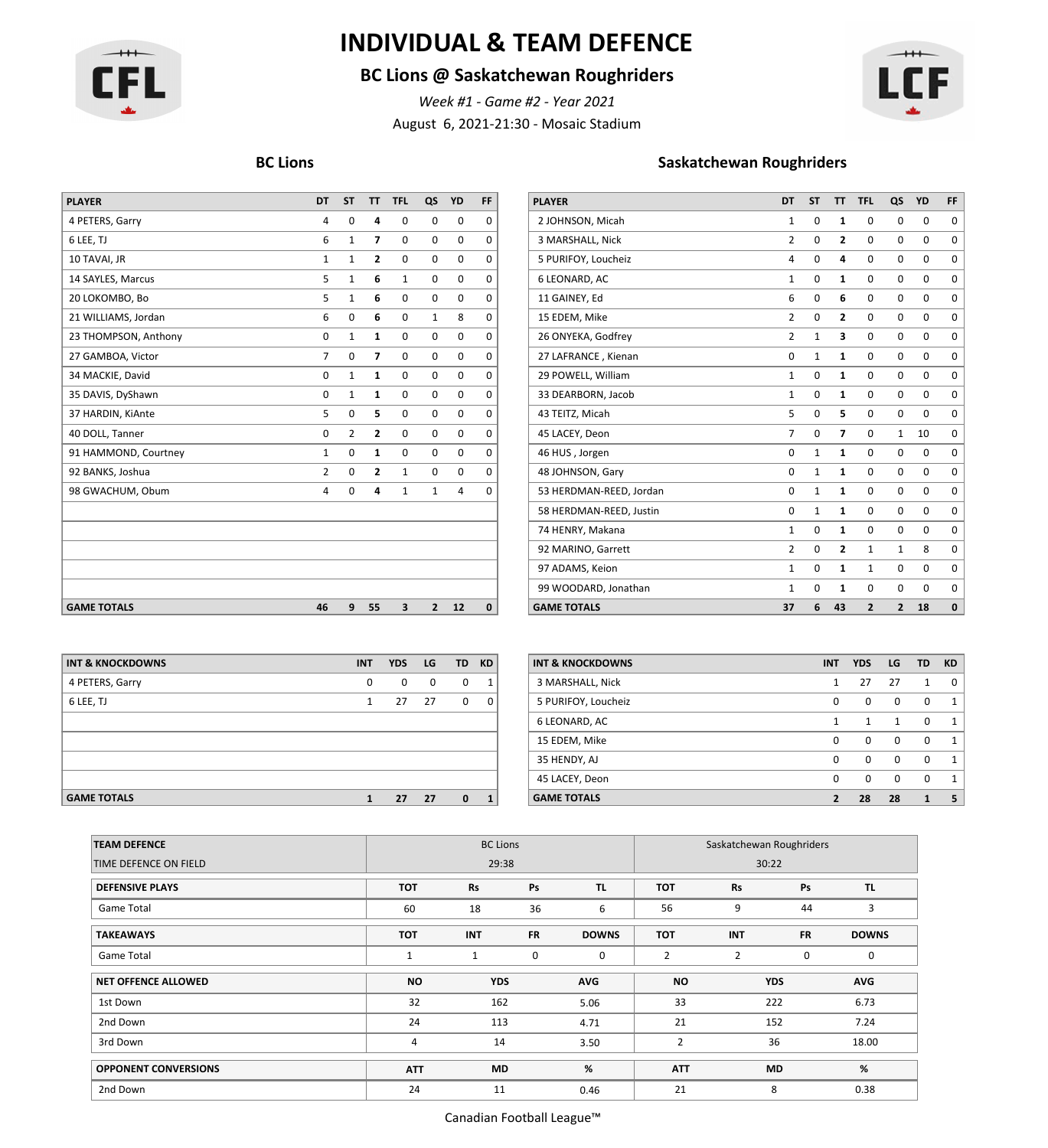

## **INDIVIDUAL & TEAM DEFENCE**

### **BC Lions @ Saskatchewan Roughriders**

August 6, 2021-21:30 - Mosaic Stadium *Week #1 - Game #2 - Year 2021*



| <b>PLAYER</b>        | <b>DT</b>      | <b>ST</b>    | <b>TT</b>                | <b>TFL</b>  |              | QS YD          | <b>FF</b>    | <b>PLAYER</b>           | <b>DT</b>      | <b>ST</b>    |                         | TT TFL         | QS             | <b>YD</b> |
|----------------------|----------------|--------------|--------------------------|-------------|--------------|----------------|--------------|-------------------------|----------------|--------------|-------------------------|----------------|----------------|-----------|
| 4 PETERS, Garry      | 4              | 0            |                          | 0           | $\mathbf 0$  | $\mathbf 0$    | $\Omega$     | 2 JOHNSON, Micah        | $\mathbf{1}$   | $\mathbf 0$  | -1                      | $\Omega$       | $\Omega$       |           |
| 6 LEE, TJ            | 6              | 1            | 7                        | $\mathbf 0$ | $\mathbf 0$  | $\mathbf 0$    | $\Omega$     | 3 MARSHALL, Nick        | $\overline{2}$ | 0            | $\overline{\mathbf{2}}$ | $\mathbf 0$    | 0              |           |
| 10 TAVAI, JR         | 1              | $\mathbf{1}$ | $\mathbf{z}$             | 0           | 0            | $\mathbf 0$    | $\Omega$     | 5 PURIFOY, Loucheiz     | 4              | 0            | 4                       | $\mathbf 0$    | 0              |           |
| 14 SAYLES, Marcus    | 5              | $\mathbf{1}$ | 6                        | 1           | $\mathbf 0$  | $\mathbf 0$    | $\Omega$     | 6 LEONARD, AC           | $\mathbf{1}$   | $\mathbf 0$  | 1                       | $\mathbf 0$    | 0              |           |
| 20 LOKOMBO, Bo       | 5              | 1            | 6                        | 0           | $\mathbf 0$  | $\mathbf 0$    | $\Omega$     | 11 GAINEY, Ed           | 6              | $\mathbf 0$  | 6                       | $\mathbf 0$    | 0              |           |
| 21 WILLIAMS, Jordan  | 6              | 0            | 6                        | 0           | $\mathbf{1}$ | 8              | $\Omega$     | 15 EDEM, Mike           | $\overline{2}$ | $\mathbf 0$  | $\overline{\mathbf{2}}$ | $\mathbf 0$    | 0              |           |
| 23 THOMPSON, Anthony | 0              | 1            | 1                        | 0           | 0            | $\mathbf 0$    | $\Omega$     | 26 ONYEKA, Godfrey      | $\overline{2}$ | $\mathbf{1}$ | 3                       | $\mathbf 0$    | 0              |           |
| 27 GAMBOA, Victor    | $\overline{7}$ | $\mathbf 0$  | $\overline{\phantom{a}}$ | 0           | $\mathbf{0}$ | $\mathbf 0$    | $\Omega$     | 27 LAFRANCE, Kienan     | 0              | $\mathbf{1}$ | $\mathbf{1}$            | 0              | 0              |           |
| 34 MACKIE, David     | 0              | $\mathbf 1$  | 1                        | $\mathbf 0$ | $\mathbf 0$  | $\mathbf 0$    | $\Omega$     | 29 POWELL, William      | $\mathbf{1}$   | 0            | 1                       | $\mathbf 0$    | 0              |           |
| 35 DAVIS, DyShawn    | 0              | 1            | 1                        | $\mathbf 0$ | $\mathbf 0$  | $\mathbf 0$    | $\Omega$     | 33 DEARBORN, Jacob      | $\mathbf{1}$   | 0            | 1                       | $\mathbf 0$    | 0              |           |
| 37 HARDIN, KiAnte    | 5              | 0            | 5                        | 0           | 0            | 0              | $\Omega$     | 43 TEITZ, Micah         | 5              | $\mathbf 0$  | 5                       | $\mathbf 0$    | 0              |           |
| 40 DOLL, Tanner      | 0              | 2            | $\overline{2}$           | $\mathbf 0$ | $\mathbf 0$  | $\mathbf 0$    | $\Omega$     | 45 LACEY, Deon          | $\overline{7}$ | 0            | 7                       | $\Omega$       | $\mathbf{1}$   |           |
| 91 HAMMOND, Courtney | 1              | 0            | 1                        | 0           | $\mathbf 0$  | $\mathbf 0$    | $\Omega$     | 46 HUS, Jorgen          | 0              | 1            | $\mathbf{1}$            | $\mathbf 0$    | 0              |           |
| 92 BANKS, Joshua     | 2              | 0            | 2                        | 1           | 0            | 0              | 0            | 48 JOHNSON, Gary        | $\mathbf{0}$   | 1            | 1                       | $\mathbf 0$    | 0              |           |
| 98 GWACHUM, Obum     | 4              | $\mathbf 0$  | 4                        | 1           | $\mathbf{1}$ | $\overline{4}$ | $\Omega$     | 53 HERDMAN-REED, Jordan | $\Omega$       | 1            | 1                       | $\Omega$       | $\Omega$       |           |
|                      |                |              |                          |             |              |                |              | 58 HERDMAN-REED, Justin | 0              | $\mathbf{1}$ | 1                       | $\mathbf 0$    | $\mathbf 0$    |           |
|                      |                |              |                          |             |              |                |              | 74 HENRY, Makana        | $\mathbf{1}$   | $\mathbf 0$  | 1                       | $\mathbf 0$    | 0              |           |
|                      |                |              |                          |             |              |                |              | 92 MARINO, Garrett      | $\overline{2}$ | 0            | $\overline{2}$          |                |                |           |
|                      |                |              |                          |             |              |                |              | 97 ADAMS, Keion         | $\mathbf{1}$   | 0            | 1                       | $\mathbf{1}$   | $\Omega$       |           |
|                      |                |              |                          |             |              |                |              | 99 WOODARD, Jonathan    | $\mathbf{1}$   | 0            | $\mathbf{1}$            | $\mathbf 0$    | 0              |           |
| <b>GAME TOTALS</b>   | 46             | 9            | 55                       | 3           | $\mathbf{2}$ | 12             | $\mathbf{0}$ | <b>GAME TOTALS</b>      | 37             | 6            | 43                      | $\overline{2}$ | $\overline{2}$ |           |

#### **BC Lions Saskatchewan Roughriders**

| <b>PLAYER</b>           | DT             | <b>ST</b>    | π                       | <b>TFL</b>               | QS                       | YD          | FF          |
|-------------------------|----------------|--------------|-------------------------|--------------------------|--------------------------|-------------|-------------|
| 2 JOHNSON, Micah        | $\mathbf{1}$   | $\mathbf 0$  | 1                       | 0                        | $\Omega$                 | 0           | 0           |
| 3 MARSHALL, Nick        | 2              | 0            | $\overline{2}$          | 0                        | $\mathbf 0$              | $\mathbf 0$ | $\mathbf 0$ |
| 5 PURIFOY, Loucheiz     | 4              | $\mathbf 0$  | 4                       | 0                        | $\mathbf 0$              | $\mathbf 0$ | $\mathbf 0$ |
| 6 LEONARD, AC           | $\mathbf{1}$   | $\mathbf 0$  | 1                       | 0                        | $\mathbf 0$              | 0           | 0           |
| 11 GAINEY, Ed           | 6              | $\mathbf 0$  | 6                       | 0                        | $\mathbf 0$              | 0           | $\mathbf 0$ |
| 15 EDEM, Mike           | 2              | $\mathbf 0$  | 2                       | 0                        | $\mathbf 0$              | 0           | 0           |
| 26 ONYEKA, Godfrey      | $\overline{2}$ | $\mathbf{1}$ | 3                       | 0                        | $\mathbf 0$              | 0           | 0           |
| 27 LAFRANCE, Kienan     | $\mathbf 0$    | $\mathbf{1}$ | $\mathbf{1}$            | 0                        | $\mathbf 0$              | $\mathbf 0$ | $\mathbf 0$ |
| 29 POWELL, William      | $\mathbf{1}$   | $\mathbf 0$  | $\mathbf{1}$            | 0                        | $\mathbf 0$              | 0           | 0           |
| 33 DEARBORN, Jacob      | $\mathbf{1}$   | $\mathbf 0$  | 1                       | 0                        | $\mathbf 0$              | 0           | $\mathbf 0$ |
| 43 TEITZ, Micah         | 5              | $\mathbf 0$  | 5                       | 0                        | $\mathbf 0$              | $\mathbf 0$ | 0           |
| 45 LACEY, Deon          | 7              | $\Omega$     | 7                       | 0                        | $\mathbf{1}$             | 10          | 0           |
| 46 HUS, Jorgen          | $\mathbf 0$    | $\mathbf{1}$ | 1                       | 0                        | $\mathbf 0$              | 0           | 0           |
| 48 JOHNSON, Gary        | $\mathbf 0$    | $\mathbf{1}$ | 1                       | 0                        | $\mathbf 0$              | $\mathbf 0$ | $\mathbf 0$ |
| 53 HERDMAN-REED, Jordan | $\mathbf 0$    | $\mathbf{1}$ | 1                       | 0                        | $\mathbf 0$              | 0           | 0           |
| 58 HERDMAN-REED, Justin | $\mathbf 0$    | $\mathbf{1}$ | 1                       | 0                        | $\mathbf 0$              | 0           | $\mathbf 0$ |
| 74 HENRY, Makana        | $\mathbf{1}$   | 0            | $\mathbf{1}$            | 0                        | $\mathbf 0$              | 0           | $\mathbf 0$ |
| 92 MARINO, Garrett      | $\overline{2}$ | $\mathbf 0$  | $\overline{\mathbf{c}}$ | $\mathbf{1}$             | $\mathbf{1}$             | 8           | $\mathbf 0$ |
| 97 ADAMS, Keion         | 1              | 0            | 1                       | $\mathbf{1}$             | $\mathbf 0$              | 0           | $\mathbf 0$ |
| 99 WOODARD, Jonathan    | $\mathbf{1}$   | $\mathbf 0$  | 1                       | 0                        | $\mathbf 0$              | 0           | $\mathbf 0$ |
| <b>GAME TOTALS</b>      | 37             | 6            | 43                      | $\overline{\phantom{a}}$ | $\overline{\phantom{a}}$ | 18          | $\Omega$    |

| <b>INT &amp; KNOCKDOWNS</b> | <b>INT</b>     | <b>YDS</b> | LG   | TD.          | <b>KD</b>      | <b>INT &amp; KNOCKDOWNS</b> | <b>INT</b>   | <b>YDS</b> | <b>LG</b> | TD KD |
|-----------------------------|----------------|------------|------|--------------|----------------|-----------------------------|--------------|------------|-----------|-------|
| 4 PETERS, Garry             | 0              | $^{\circ}$ | 0    | $^{\circ}$   |                | 3 MARSHALL, Nick            |              | 27         | 27        |       |
| 6 LEE, TJ                   | $\mathbf{1}$   | 27         | 27   | $\mathbf{0}$ | 0 <sub>1</sub> | 5 PURIFOY, Loucheiz         | $\mathbf{0}$ | $\Omega$   | $\Omega$  |       |
|                             |                |            |      |              |                | 6 LEONARD, AC               |              |            |           |       |
|                             |                |            |      |              |                | 15 EDEM, Mike               | $\mathbf{0}$ | $\Omega$   | $\Omega$  |       |
|                             |                |            |      |              |                | 35 HENDY, AJ                | $\mathbf{0}$ | $\Omega$   | $\Omega$  |       |
|                             |                |            |      |              |                | 45 LACEY, Deon              | $\mathbf{0}$ | $\Omega$   | $\Omega$  |       |
| AAABBAFABA                  | $\overline{a}$ | $-1$       | $-1$ | $\sim$       |                | CARSE TOTALC                | $\sim$       | $\sim$     | $\sim$    | .     |

| INT & KNOCKDOWNS   | <b>INT</b>  | <b>YDS</b>   | LG | TD KD        |                | <b>INT &amp; KNOCKDOWNS</b> | <b>INT</b> | <b>YDS</b>   | <b>LG</b>   | <b>TD</b>    | <b>KD</b>      |
|--------------------|-------------|--------------|----|--------------|----------------|-----------------------------|------------|--------------|-------------|--------------|----------------|
| 4 PETERS, Garry    | $\mathbf 0$ | $\mathbf{0}$ | 0  | $\mathbf 0$  |                | 3 MARSHALL, Nick            |            | 27           | 27          | $\mathbf{1}$ | 0 <sup>1</sup> |
| 6 LEE, TJ          |             | 27           | 27 | $\mathbf{0}$ | $\overline{0}$ | 5 PURIFOY, Loucheiz         | 0          | $\mathbf{0}$ | $\mathbf 0$ | 0            |                |
|                    |             |              |    |              |                | 6 LEONARD, AC               |            |              |             | $\Omega$     |                |
|                    |             |              |    |              |                | 15 EDEM, Mike               | 0          | $\mathbf{0}$ | $\mathbf 0$ | 0            |                |
|                    |             |              |    |              |                | 35 HENDY, AJ                | 0          | $\Omega$     | 0           | 0            |                |
|                    |             |              |    |              |                | 45 LACEY, Deon              | $\Omega$   | $\Omega$     | $\Omega$    | $\Omega$     |                |
| <b>GAME TOTALS</b> |             | 27           | 27 | $\bf{0}$     |                | <b>GAME TOTALS</b>          |            | 28           | 28          |              | - 5            |

| <b>TEAM DEFENCE</b>         |            | <b>BC Lions</b> |           | Saskatchewan Roughriders |                |                |             |              |  |
|-----------------------------|------------|-----------------|-----------|--------------------------|----------------|----------------|-------------|--------------|--|
| TIME DEFENCE ON FIELD       |            | 29:38           |           |                          |                | 30:22          |             |              |  |
| <b>DEFENSIVE PLAYS</b>      | <b>TOT</b> | Rs              | Ps        | TL.                      | TOT            | Rs             | Ps          | TL.          |  |
| Game Total                  | 60         | 18              | 36        | 6                        | 56             | 9              | 44          | 3            |  |
| <b>TAKEAWAYS</b>            | <b>TOT</b> | <b>INT</b>      | <b>FR</b> | <b>DOWNS</b>             | <b>TOT</b>     | <b>INT</b>     | <b>FR</b>   | <b>DOWNS</b> |  |
| Game Total                  | 1          | 1               | 0         | $\mathbf 0$              | $\overline{2}$ | $\overline{2}$ | $\mathbf 0$ | 0            |  |
| <b>NET OFFENCE ALLOWED</b>  | <b>NO</b>  | <b>YDS</b>      |           | <b>AVG</b>               | <b>NO</b>      |                | <b>YDS</b>  | <b>AVG</b>   |  |
| 1st Down                    | 32         | 162             |           | 5.06                     | 33             |                | 222         | 6.73         |  |
| 2nd Down                    | 24         | 113             |           | 4.71                     | 21             |                | 152         | 7.24         |  |
| 3rd Down                    | 4          | 14              |           | 3.50                     | $\overline{2}$ |                | 36          | 18.00        |  |
| <b>OPPONENT CONVERSIONS</b> | <b>ATT</b> | <b>MD</b>       |           | %                        | <b>ATT</b>     |                | <b>MD</b>   | %            |  |
| 2nd Down                    | 24         | 11              |           | 0.46                     | 21             |                | 8           | 0.38         |  |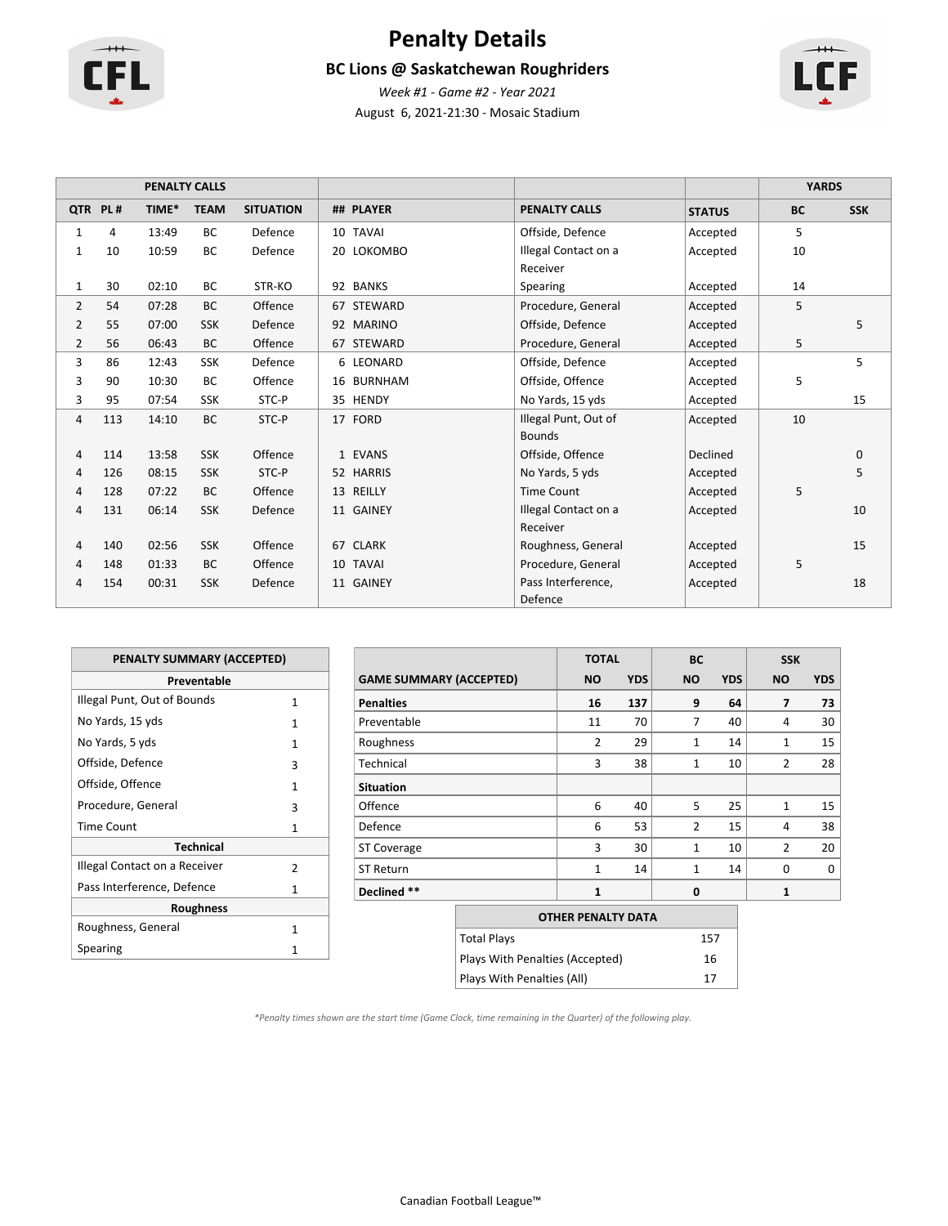

# **Penalty Details**

### **BC Lions @ Saskatchewan Roughriders**



August 6, 2021-21:30 - Mosaic Stadium *Week #1 - Game #2 - Year 2021*

|                |         | <b>PENALTY CALLS</b> |             |                  |                    |                      |                 | <b>YARDS</b> |            |
|----------------|---------|----------------------|-------------|------------------|--------------------|----------------------|-----------------|--------------|------------|
|                | QTR PL# | TIME*                | <b>TEAM</b> | <b>SITUATION</b> | ## PLAYER          | <b>PENALTY CALLS</b> | <b>STATUS</b>   | <b>BC</b>    | <b>SSK</b> |
| $\mathbf{1}$   | 4       | 13:49                | <b>BC</b>   | Defence          | 10 TAVAI           | Offside, Defence     | Accepted        | 5            |            |
| 1              | 10      | 10:59                | <b>BC</b>   | Defence          | 20 LOKOMBO         | Illegal Contact on a | Accepted        | 10           |            |
|                |         |                      |             |                  |                    | Receiver             |                 |              |            |
| $\mathbf{1}$   | 30      | 02:10                | ВC          | STR-KO           | 92 BANKS           | Spearing             | Accepted        | 14           |            |
| $\overline{2}$ | 54      | 07:28                | <b>BC</b>   | Offence          | 67 STEWARD         | Procedure, General   | Accepted        | 5            |            |
| 2              | 55      | 07:00                | <b>SSK</b>  | Defence          | 92 MARINO          | Offside, Defence     | Accepted        |              | 5          |
| $\overline{2}$ | 56      | 06:43                | <b>BC</b>   | Offence          | 67 STEWARD         | Procedure, General   | Accepted        | 5            |            |
| 3              | 86      | 12:43                | SSK         | Defence          | 6 LEONARD          | Offside, Defence     | Accepted        |              | 5          |
| 3              | 90      | 10:30                | ВC          | Offence          | 16 BURNHAM         | Offside, Offence     | Accepted        | 5            |            |
| 3              | 95      | 07:54                | <b>SSK</b>  | STC-P            | 35 HENDY           | No Yards, 15 yds     | Accepted        |              | 15         |
| 4              | 113     | 14:10                | BC          | STC-P            | 17 FORD            | Illegal Punt, Out of | Accepted        | 10           |            |
|                |         |                      |             |                  |                    | <b>Bounds</b>        |                 |              |            |
| 4              | 114     | 13:58                | <b>SSK</b>  | Offence          | 1 EVANS            | Offside, Offence     | <b>Declined</b> |              | 0          |
| 4              | 126     | 08:15                | <b>SSK</b>  | STC-P            | 52 HARRIS          | No Yards, 5 yds      | Accepted        |              | 5          |
| 4              | 128     | 07:22                | BC          | Offence          | REILLY<br>13       | <b>Time Count</b>    | Accepted        | 5            |            |
| 4              | 131     | 06:14                | <b>SSK</b>  | Defence          | 11 GAINEY          | Illegal Contact on a | Accepted        |              | 10         |
|                |         |                      |             |                  |                    | Receiver             |                 |              |            |
| 4              | 140     | 02:56                | <b>SSK</b>  | Offence          | <b>CLARK</b><br>67 | Roughness, General   | Accepted        |              | 15         |
| 4              | 148     | 01:33                | BC          | Offence          | <b>TAVAI</b><br>10 | Procedure, General   | Accepted        | 5            |            |
| 4              | 154     | 00:31                | <b>SSK</b>  | Defence          | 11 GAINEY          | Pass Interference,   | Accepted        |              | 18         |
|                |         |                      |             |                  |                    | Defence              |                 |              |            |

| <b>PENALTY SUMMARY (ACCEPTED)</b> |               |
|-----------------------------------|---------------|
| Preventable                       |               |
| Illegal Punt, Out of Bounds       | 1             |
| No Yards, 15 yds                  | 1             |
| No Yards, 5 yds                   | 1             |
| Offside, Defence                  | 3             |
| Offside, Offence                  | 1             |
| Procedure, General                | 3             |
| Time Count                        | 1             |
| <b>Technical</b>                  |               |
| Illegal Contact on a Receiver     | $\mathcal{P}$ |
| Pass Interference, Defence        | 1             |
| <b>Roughness</b>                  |               |
| Roughness, General                | 1             |
| Spearing                          | 1             |

|                                | <b>TOTAL</b>   |            | <b>BC</b>      |            | <b>SSK</b>     |            |
|--------------------------------|----------------|------------|----------------|------------|----------------|------------|
| <b>GAME SUMMARY (ACCEPTED)</b> | <b>NO</b>      | <b>YDS</b> | <b>NO</b>      | <b>YDS</b> | <b>NO</b>      | <b>YDS</b> |
| <b>Penalties</b>               | 16             | 137        | 9              | 64         | 7              | 73         |
| Preventable                    | 11             | 70         | 7              | 40         | 4              | 30         |
| Roughness                      | $\overline{2}$ | 29         | $\mathbf{1}$   | 14         | $\mathbf{1}$   | 15         |
| Technical                      | 3              | 38         | $\mathbf{1}$   | 10         | $\overline{2}$ | 28         |
| <b>Situation</b>               |                |            |                |            |                |            |
| Offence                        | 6              | 40         | 5              | 25         | $\mathbf{1}$   | 15         |
| Defence                        | 6              | 53         | $\overline{2}$ | 15         | $\overline{4}$ | 38         |
| <b>ST Coverage</b>             | 3              | 30         | $\mathbf{1}$   | 10         | $\overline{2}$ | 20         |
| <b>ST Return</b>               | $\mathbf{1}$   | 14         | $\mathbf{1}$   | 14         | $\Omega$       | $\Omega$   |
| Declined **                    | $\mathbf{1}$   |            | 0              |            | 1              |            |
|                                |                |            |                |            |                |            |

| <b>OTHER PENALTY DATA</b>       |     |
|---------------------------------|-----|
| <b>Total Plays</b>              | 157 |
| Plays With Penalties (Accepted) | 16  |
| Plays With Penalties (All)      | 17  |

*\*Penalty times shown are the start time (Game Clock, time remaining in the Quarter) of the following play.*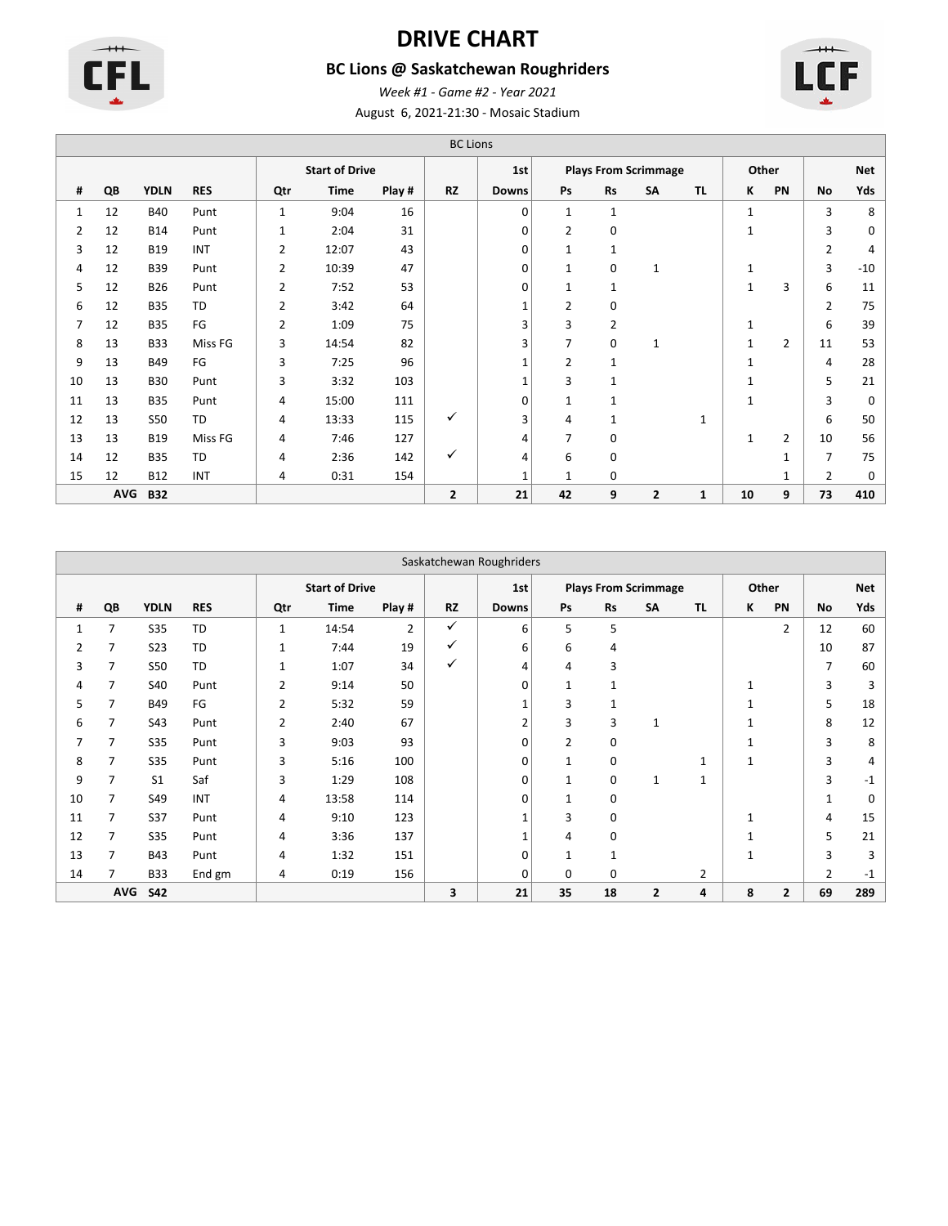

# **DRIVE CHART**

### **BC Lions @ Saskatchewan Roughriders**



August 6, 2021-21:30 - Mosaic Stadium *Week #1 - Game #2 - Year 2021*

|    |            |             |            |                |                       | <b>BC Lions</b> |              |              |                |              |                             |              |              |                |                |            |
|----|------------|-------------|------------|----------------|-----------------------|-----------------|--------------|--------------|----------------|--------------|-----------------------------|--------------|--------------|----------------|----------------|------------|
|    |            |             |            |                | <b>Start of Drive</b> |                 |              | 1st          |                |              | <b>Plays From Scrimmage</b> |              |              | Other          |                | <b>Net</b> |
| #  | QB         | <b>YDLN</b> | <b>RES</b> | Qtr            | Time                  | Play #          | <b>RZ</b>    | <b>Downs</b> | Ps             | <b>Rs</b>    | SA                          | <b>TL</b>    | ĸ            | PN             | No             | Yds        |
| 1  | 12         | <b>B40</b>  | Punt       | $\mathbf{1}$   | 9:04                  | 16              |              | 0            | $\mathbf{1}$   | $\mathbf{1}$ |                             |              | $\mathbf{1}$ |                | 3              | 8          |
| 2  | 12         | <b>B14</b>  | Punt       | 1              | 2:04                  | 31              |              | 0            | 2              | 0            |                             |              | $\mathbf{1}$ |                | 3              | 0          |
| 3  | 12         | <b>B19</b>  | INT        | 2              | 12:07                 | 43              |              | 0            | 1              | 1            |                             |              |              |                | $\overline{2}$ | 4          |
| 4  | 12         | <b>B39</b>  | Punt       | 2              | 10:39                 | 47              |              | 0            | $\mathbf{1}$   | 0            | 1                           |              | 1            |                | 3              | $-10$      |
| 5  | 12         | <b>B26</b>  | Punt       | $\overline{2}$ | 7:52                  | 53              |              | 0            | $\mathbf{1}$   | $\mathbf{1}$ |                             |              | $\mathbf{1}$ | 3              | 6              | 11         |
| 6  | 12         | <b>B35</b>  | <b>TD</b>  | 2              | 3:42                  | 64              |              | $\mathbf{1}$ | $\overline{2}$ | 0            |                             |              |              |                | $\overline{2}$ | 75         |
| 7  | 12         | <b>B35</b>  | FG         | 2              | 1:09                  | 75              |              | 3            | 3              | 2            |                             |              | $\mathbf{1}$ |                | 6              | 39         |
| 8  | 13         | <b>B33</b>  | Miss FG    | 3              | 14:54                 | 82              |              | 3            | 7              | 0            | $\mathbf{1}$                |              | $\mathbf{1}$ | $\overline{2}$ | 11             | 53         |
| 9  | 13         | B49         | FG         | 3              | 7:25                  | 96              |              | 1            | 2              | $\mathbf{1}$ |                             |              | $\mathbf{1}$ |                | 4              | 28         |
| 10 | 13         | <b>B30</b>  | Punt       | 3              | 3:32                  | 103             |              | $\mathbf{1}$ | 3              | 1            |                             |              | 1            |                | 5              | 21         |
| 11 | 13         | <b>B35</b>  | Punt       | 4              | 15:00                 | 111             |              | 0            | $\mathbf{1}$   | 1            |                             |              | $\mathbf{1}$ |                | 3              | 0          |
| 12 | 13         | <b>S50</b>  | <b>TD</b>  | 4              | 13:33                 | 115             | ✓            | 3            | 4              | 1            |                             | $\mathbf{1}$ |              |                | 6              | 50         |
| 13 | 13         | <b>B19</b>  | Miss FG    | 4              | 7:46                  | 127             |              | 4            | 7              | $\mathbf 0$  |                             |              | $\mathbf{1}$ | $\overline{2}$ | 10             | 56         |
| 14 | 12         | <b>B35</b>  | <b>TD</b>  | 4              | 2:36                  | 142             | ✓            | 4            | 6              | $\mathbf 0$  |                             |              |              | 1              | $\overline{7}$ | 75         |
| 15 | 12         | <b>B12</b>  | INT        | 4              | 0:31                  | 154             |              | 1            | $\mathbf 1$    | $\mathbf 0$  |                             |              |              | 1              | 2              | 0          |
|    | <b>AVG</b> | <b>B32</b>  |            |                |                       |                 | $\mathbf{z}$ | 21           | 42             | 9            | $\overline{2}$              | $\mathbf{1}$ | 10           | 9              | 73             | 410        |

|                |            |                |            |                |                       |        |              | Saskatchewan Roughriders |                |              |                             |              |              |                |                |            |
|----------------|------------|----------------|------------|----------------|-----------------------|--------|--------------|--------------------------|----------------|--------------|-----------------------------|--------------|--------------|----------------|----------------|------------|
|                |            |                |            |                | <b>Start of Drive</b> |        |              | 1st                      |                |              | <b>Plays From Scrimmage</b> |              |              | Other          |                | <b>Net</b> |
| #              | QB         | <b>YDLN</b>    | <b>RES</b> | Qtr            | <b>Time</b>           | Play # | <b>RZ</b>    | <b>Downs</b>             | Ps             | <b>Rs</b>    | SA                          | <b>TL</b>    | К            | PN             | <b>No</b>      | Yds        |
| 1              | 7          | <b>S35</b>     | <b>TD</b>  | 1              | 14:54                 | 2      | $\checkmark$ | 6                        | 5              | 5            |                             |              |              | $\overline{2}$ | 12             | 60         |
| $\overline{2}$ | 7          | <b>S23</b>     | <b>TD</b>  | $\mathbf{1}$   | 7:44                  | 19     | ✓            | 6                        | 6              | 4            |                             |              |              |                | 10             | 87         |
| 3              | 7          | <b>S50</b>     | <b>TD</b>  | 1              | 1:07                  | 34     | ✓            | 4                        | 4              | 3            |                             |              |              |                | 7              | 60         |
| 4              | 7          | <b>S40</b>     | Punt       | $\overline{2}$ | 9:14                  | 50     |              | 0                        | $\mathbf{1}$   | 1            |                             |              |              |                | 3              | 3          |
| 5              | 7          | <b>B49</b>     | FG         | 2              | 5:32                  | 59     |              | 1                        | 3              | $\mathbf{1}$ |                             |              |              |                | 5              | 18         |
| 6              | 7          | S43            | Punt       | 2              | 2:40                  | 67     |              | 2                        | 3              | 3            | 1                           |              |              |                | 8              | 12         |
| 7              | 7          | <b>S35</b>     | Punt       | 3              | 9:03                  | 93     |              | 0                        | $\overline{2}$ | 0            |                             |              | 1            |                | 3              | 8          |
| 8              | 7          | <b>S35</b>     | Punt       | 3              | 5:16                  | 100    |              | 0                        | $\mathbf{1}$   | 0            |                             | 1            | $\mathbf{1}$ |                | 3              | 4          |
| 9              | 7          | S <sub>1</sub> | Saf        | 3              | 1:29                  | 108    |              | 0                        | $\mathbf{1}$   | 0            | 1                           | $\mathbf{1}$ |              |                | 3              | -1         |
| 10             | 7          | S49            | <b>INT</b> | 4              | 13:58                 | 114    |              | 0                        | $\mathbf{1}$   | $\mathbf 0$  |                             |              |              |                | $\mathbf{1}$   | 0          |
| 11             | 7          | S37            | Punt       | 4              | 9:10                  | 123    |              | $\mathbf{1}$             | 3              | 0            |                             |              |              |                | 4              | 15         |
| 12             | 7          | <b>S35</b>     | Punt       | 4              | 3:36                  | 137    |              | $\mathbf{1}$             | 4              | $\mathbf 0$  |                             |              | 1            |                | 5              | 21         |
| 13             | 7          | <b>B43</b>     | Punt       | 4              | 1:32                  | 151    |              | 0                        | $\mathbf{1}$   | $\mathbf{1}$ |                             |              | 1            |                | 3              | 3          |
| 14             | 7          | <b>B33</b>     | End gm     | 4              | 0:19                  | 156    |              | 0                        | $\mathbf 0$    | 0            |                             | 2            |              |                | $\overline{2}$ | -1         |
|                | <b>AVG</b> | <b>S42</b>     |            |                |                       |        | 3            | 21                       | 35             | 18           | $\overline{2}$              | 4            | 8            | $\overline{2}$ | 69             | 289        |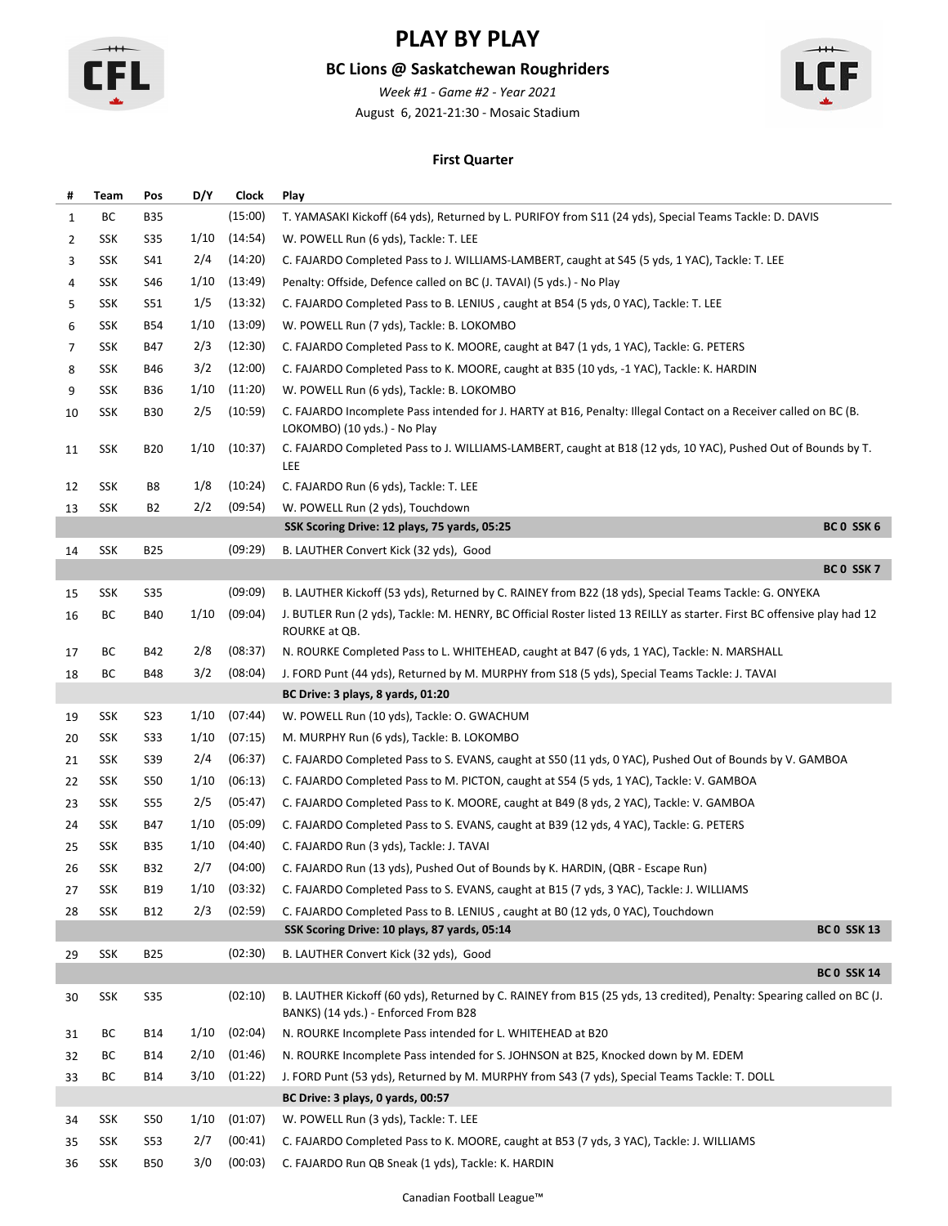

### **BC Lions @ Saskatchewan Roughriders**

August 6, 2021-21:30 - Mosaic Stadium *Week #1 - Game #2 - Year 2021*



#### **First Quarter**

| #  | Team | Pos        | D/Y  | Clock   | Play                                                                                                                                                          |
|----|------|------------|------|---------|---------------------------------------------------------------------------------------------------------------------------------------------------------------|
| 1  | BC   | <b>B35</b> |      | (15:00) | T. YAMASAKI Kickoff (64 yds), Returned by L. PURIFOY from S11 (24 yds), Special Teams Tackle: D. DAVIS                                                        |
| 2  | SSK  | S35        | 1/10 | (14:54) | W. POWELL Run (6 yds), Tackle: T. LEE                                                                                                                         |
| 3  | SSK  | S41        | 2/4  | (14:20) | C. FAJARDO Completed Pass to J. WILLIAMS-LAMBERT, caught at S45 (5 yds, 1 YAC), Tackle: T. LEE                                                                |
| 4  | SSK  | S46        | 1/10 | (13:49) | Penalty: Offside, Defence called on BC (J. TAVAI) (5 yds.) - No Play                                                                                          |
| 5  | SSK  | S51        | 1/5  | (13:32) | C. FAJARDO Completed Pass to B. LENIUS, caught at B54 (5 yds, 0 YAC), Tackle: T. LEE                                                                          |
| 6  | SSK  | <b>B54</b> | 1/10 | (13:09) | W. POWELL Run (7 yds), Tackle: B. LOKOMBO                                                                                                                     |
| 7  | SSK  | B47        | 2/3  | (12:30) | C. FAJARDO Completed Pass to K. MOORE, caught at B47 (1 yds, 1 YAC), Tackle: G. PETERS                                                                        |
| 8  | SSK  | B46        | 3/2  | (12:00) | C. FAJARDO Completed Pass to K. MOORE, caught at B35 (10 yds, -1 YAC), Tackle: K. HARDIN                                                                      |
| 9  | SSK  | <b>B36</b> | 1/10 | (11:20) | W. POWELL Run (6 yds), Tackle: B. LOKOMBO                                                                                                                     |
| 10 | SSK  | <b>B30</b> | 2/5  | (10:59) | C. FAJARDO Incomplete Pass intended for J. HARTY at B16, Penalty: Illegal Contact on a Receiver called on BC (B.<br>LOKOMBO) (10 yds.) - No Play              |
| 11 | SSK  | <b>B20</b> | 1/10 | (10:37) | C. FAJARDO Completed Pass to J. WILLIAMS-LAMBERT, caught at B18 (12 yds, 10 YAC), Pushed Out of Bounds by T.<br>LEE                                           |
| 12 | SSK  | B8         | 1/8  | (10:24) | C. FAJARDO Run (6 yds), Tackle: T. LEE                                                                                                                        |
| 13 | SSK  | B2         | 2/2  | (09:54) | W. POWELL Run (2 yds), Touchdown                                                                                                                              |
|    |      |            |      |         | BC 0 SSK 6<br>SSK Scoring Drive: 12 plays, 75 yards, 05:25                                                                                                    |
| 14 | SSK  | <b>B25</b> |      | (09:29) | B. LAUTHER Convert Kick (32 yds), Good                                                                                                                        |
|    |      |            |      |         | BC 0 SSK 7                                                                                                                                                    |
| 15 | SSK  | S35        |      | (09:09) | B. LAUTHER Kickoff (53 yds), Returned by C. RAINEY from B22 (18 yds), Special Teams Tackle: G. ONYEKA                                                         |
| 16 | ВC   | <b>B40</b> | 1/10 | (09:04) | J. BUTLER Run (2 yds), Tackle: M. HENRY, BC Official Roster listed 13 REILLY as starter. First BC offensive play had 12<br>ROURKE at QB.                      |
| 17 | ВC   | B42        | 2/8  | (08:37) | N. ROURKE Completed Pass to L. WHITEHEAD, caught at B47 (6 yds, 1 YAC), Tackle: N. MARSHALL                                                                   |
| 18 | BC   | <b>B48</b> | 3/2  | (08:04) | J. FORD Punt (44 yds), Returned by M. MURPHY from S18 (5 yds), Special Teams Tackle: J. TAVAI                                                                 |
|    |      |            |      |         | BC Drive: 3 plays, 8 yards, 01:20                                                                                                                             |
| 19 | SSK  | S23        | 1/10 | (07:44) | W. POWELL Run (10 yds), Tackle: O. GWACHUM                                                                                                                    |
| 20 | SSK  | S33        | 1/10 | (07:15) | M. MURPHY Run (6 yds), Tackle: B. LOKOMBO                                                                                                                     |
| 21 | SSK  | S39        | 2/4  | (06:37) | C. FAJARDO Completed Pass to S. EVANS, caught at S50 (11 yds, 0 YAC), Pushed Out of Bounds by V. GAMBOA                                                       |
| 22 | SSK  | S50        | 1/10 | (06:13) | C. FAJARDO Completed Pass to M. PICTON, caught at S54 (5 yds, 1 YAC), Tackle: V. GAMBOA                                                                       |
| 23 | SSK  | S55        | 2/5  | (05:47) | C. FAJARDO Completed Pass to K. MOORE, caught at B49 (8 yds, 2 YAC), Tackle: V. GAMBOA                                                                        |
| 24 | SSK  | B47        | 1/10 | (05:09) | C. FAJARDO Completed Pass to S. EVANS, caught at B39 (12 yds, 4 YAC), Tackle: G. PETERS                                                                       |
| 25 | SSK  | <b>B35</b> | 1/10 | (04:40) | C. FAJARDO Run (3 yds), Tackle: J. TAVAI                                                                                                                      |
| 26 | SSK  | B32        | 2/7  | (04:00) | C. FAJARDO Run (13 yds), Pushed Out of Bounds by K. HARDIN, (QBR - Escape Run)                                                                                |
| 27 | SSK  | <b>B19</b> | 1/10 | (03:32) | C. FAJARDO Completed Pass to S. EVANS, caught at B15 (7 yds, 3 YAC), Tackle: J. WILLIAMS                                                                      |
| 28 | SSK  | B12        | 2/3  | (02:59) | C. FAJARDO Completed Pass to B. LENIUS, caught at B0 (12 yds, 0 YAC), Touchdown                                                                               |
|    |      |            |      |         | <b>BC 0 SSK 13</b><br>SSK Scoring Drive: 10 plays, 87 yards, 05:14                                                                                            |
| 29 | SSK  | <b>B25</b> |      | (02:30) | B. LAUTHER Convert Kick (32 yds), Good                                                                                                                        |
|    |      |            |      |         | <b>BC 0 SSK 14</b>                                                                                                                                            |
| 30 | SSK  | <b>S35</b> |      | (02:10) | B. LAUTHER Kickoff (60 yds), Returned by C. RAINEY from B15 (25 yds, 13 credited), Penalty: Spearing called on BC (J.<br>BANKS) (14 yds.) - Enforced From B28 |
| 31 | ВC   | B14        | 1/10 | (02:04) | N. ROURKE Incomplete Pass intended for L. WHITEHEAD at B20                                                                                                    |
| 32 | ВC   | B14        | 2/10 | (01:46) | N. ROURKE Incomplete Pass intended for S. JOHNSON at B25, Knocked down by M. EDEM                                                                             |
| 33 | ВC   | B14        | 3/10 | (01:22) | J. FORD Punt (53 yds), Returned by M. MURPHY from S43 (7 yds), Special Teams Tackle: T. DOLL                                                                  |
|    |      |            |      |         | BC Drive: 3 plays, 0 yards, 00:57                                                                                                                             |
| 34 | SSK  | <b>S50</b> | 1/10 | (01:07) | W. POWELL Run (3 yds), Tackle: T. LEE                                                                                                                         |
| 35 | SSK  | S53        | 2/7  | (00:41) | C. FAJARDO Completed Pass to K. MOORE, caught at B53 (7 yds, 3 YAC), Tackle: J. WILLIAMS                                                                      |
| 36 | SSK  | <b>B50</b> | 3/0  | (00:03) | C. FAJARDO Run QB Sneak (1 yds), Tackle: K. HARDIN                                                                                                            |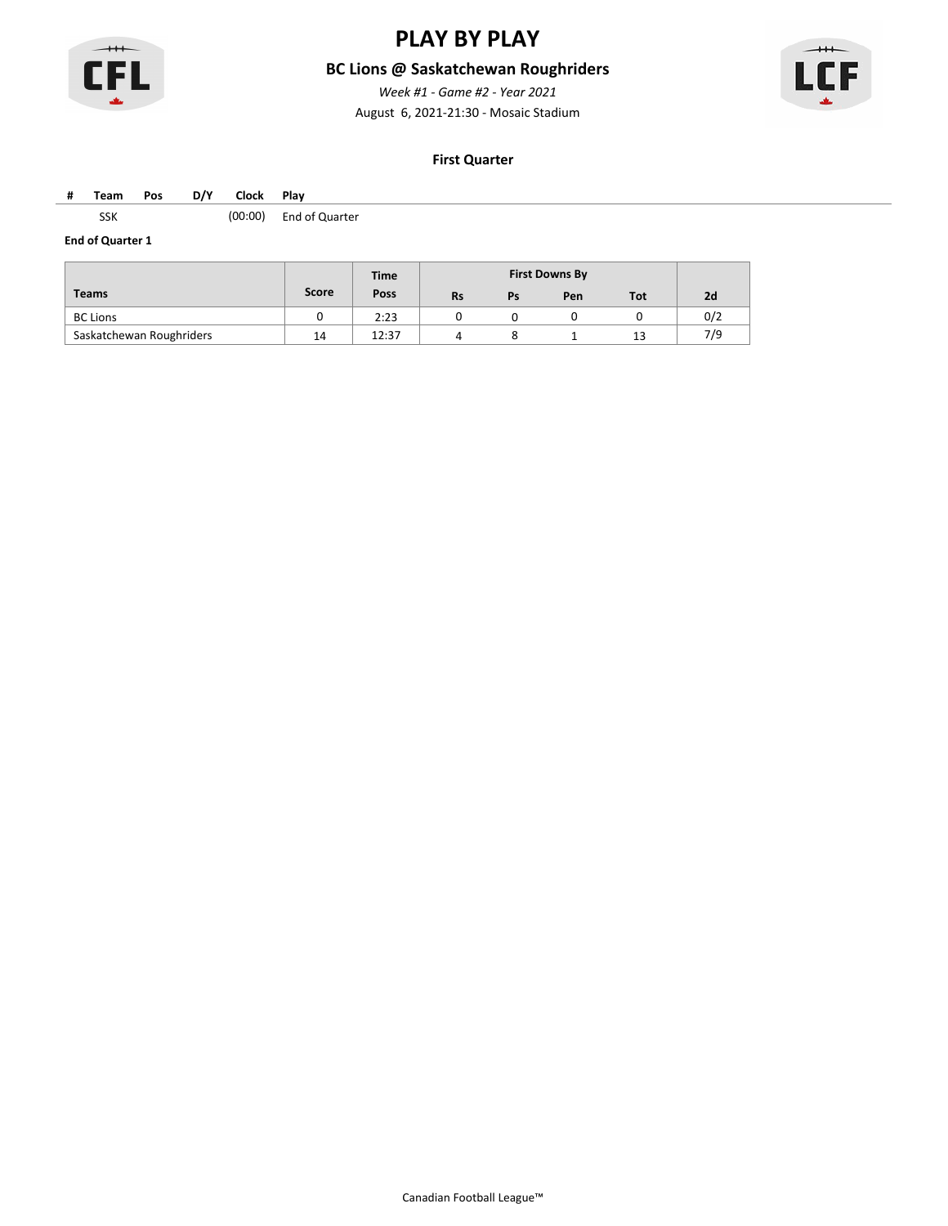

### **BC Lions @ Saskatchewan Roughriders**

August 6, 2021-21:30 - Mosaic Stadium *Week #1 - Game #2 - Year 2021*



#### **First Quarter**

#### **# Team Pos D/Y Clock Play**

SSK (00:00) End of Quarter

|                          |       | <b>Time</b> |           |    | <b>First Downs By</b> |     |     |
|--------------------------|-------|-------------|-----------|----|-----------------------|-----|-----|
| <b>Teams</b>             | Score | Poss        | <b>Rs</b> | Ps | Pen                   | Tot | 2d  |
| <b>BC Lions</b>          |       | 2:23        |           |    |                       |     | 0/2 |
| Saskatchewan Roughriders | 14    | 12:37       |           |    |                       | 13  | 7/9 |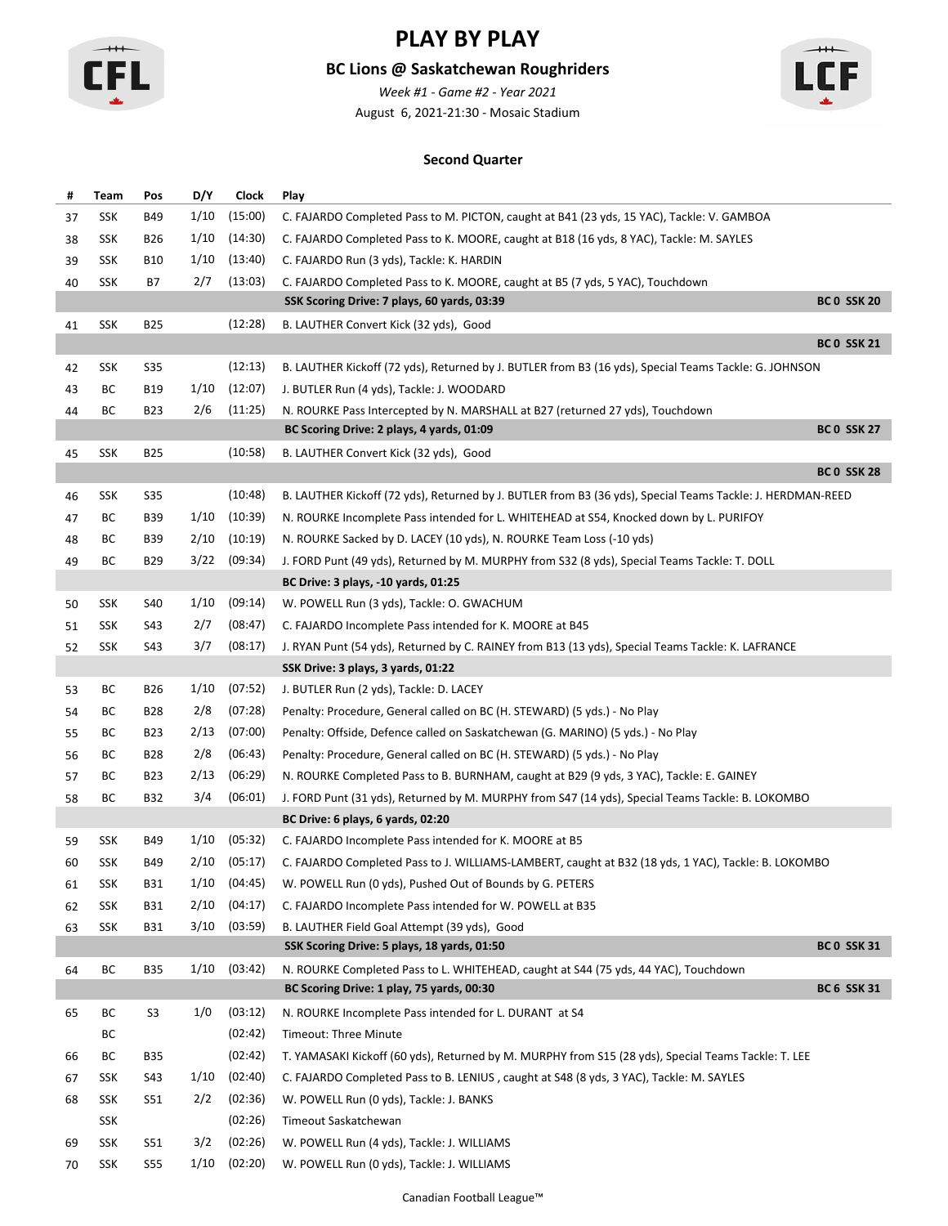

### **BC Lions @ Saskatchewan Roughriders**

August 6, 2021-21:30 - Mosaic Stadium *Week #1 - Game #2 - Year 2021*



#### **Second Quarter**

| #  | Team | Pos             | D/Y  | <b>Clock</b> | Play                                                                                                       |                    |
|----|------|-----------------|------|--------------|------------------------------------------------------------------------------------------------------------|--------------------|
| 37 | SSK  | B49             | 1/10 | (15:00)      | C. FAJARDO Completed Pass to M. PICTON, caught at B41 (23 yds, 15 YAC), Tackle: V. GAMBOA                  |                    |
| 38 | SSK  | B <sub>26</sub> | 1/10 | (14:30)      | C. FAJARDO Completed Pass to K. MOORE, caught at B18 (16 yds, 8 YAC), Tackle: M. SAYLES                    |                    |
| 39 | SSK  | <b>B10</b>      | 1/10 | (13:40)      | C. FAJARDO Run (3 yds), Tackle: K. HARDIN                                                                  |                    |
| 40 | SSK  | В7              | 2/7  | (13:03)      | C. FAJARDO Completed Pass to K. MOORE, caught at B5 (7 yds, 5 YAC), Touchdown                              |                    |
|    |      |                 |      |              | SSK Scoring Drive: 7 plays, 60 yards, 03:39                                                                | <b>BC 0 SSK 20</b> |
| 41 | SSK  | <b>B25</b>      |      | (12:28)      | B. LAUTHER Convert Kick (32 yds), Good                                                                     |                    |
|    |      |                 |      |              |                                                                                                            | <b>BC 0 SSK 21</b> |
| 42 | SSK  | S35             |      | (12:13)      | B. LAUTHER Kickoff (72 yds), Returned by J. BUTLER from B3 (16 yds), Special Teams Tackle: G. JOHNSON      |                    |
| 43 | ВC   | <b>B19</b>      | 1/10 | (12:07)      | J. BUTLER Run (4 yds), Tackle: J. WOODARD                                                                  |                    |
| 44 | ВC   | <b>B23</b>      | 2/6  | (11:25)      | N. ROURKE Pass Intercepted by N. MARSHALL at B27 (returned 27 yds), Touchdown                              |                    |
|    |      |                 |      |              | BC Scoring Drive: 2 plays, 4 yards, 01:09                                                                  | <b>BC 0 SSK 27</b> |
| 45 | SSK  | B <sub>25</sub> |      | (10:58)      | B. LAUTHER Convert Kick (32 yds), Good                                                                     |                    |
|    |      |                 |      |              |                                                                                                            | <b>BC 0 SSK 28</b> |
| 46 | SSK  | <b>S35</b>      |      | (10:48)      | B. LAUTHER Kickoff (72 yds), Returned by J. BUTLER from B3 (36 yds), Special Teams Tackle: J. HERDMAN-REED |                    |
| 47 | ВC   | B39             | 1/10 | (10:39)      | N. ROURKE Incomplete Pass intended for L. WHITEHEAD at S54, Knocked down by L. PURIFOY                     |                    |
| 48 | ВC   | B39             | 2/10 | (10:19)      | N. ROURKE Sacked by D. LACEY (10 yds), N. ROURKE Team Loss (-10 yds)                                       |                    |
| 49 | ВC   | <b>B29</b>      | 3/22 | (09:34)      | J. FORD Punt (49 yds), Returned by M. MURPHY from S32 (8 yds), Special Teams Tackle: T. DOLL               |                    |
|    |      |                 |      |              | BC Drive: 3 plays, -10 yards, 01:25                                                                        |                    |
| 50 | SSK  | S40             | 1/10 | (09:14)      | W. POWELL Run (3 yds), Tackle: O. GWACHUM                                                                  |                    |
| 51 | SSK  | S43             | 2/7  | (08:47)      | C. FAJARDO Incomplete Pass intended for K. MOORE at B45                                                    |                    |
| 52 | SSK  | S43             | 3/7  | (08:17)      | J. RYAN Punt (54 yds), Returned by C. RAINEY from B13 (13 yds), Special Teams Tackle: K. LAFRANCE          |                    |
|    |      |                 |      |              | SSK Drive: 3 plays, 3 yards, 01:22                                                                         |                    |
| 53 | ВC   | B <sub>26</sub> | 1/10 | (07:52)      | J. BUTLER Run (2 yds), Tackle: D. LACEY                                                                    |                    |
| 54 | ВC   | <b>B28</b>      | 2/8  | (07:28)      | Penalty: Procedure, General called on BC (H. STEWARD) (5 yds.) - No Play                                   |                    |
| 55 | ВC   | B <sub>23</sub> | 2/13 | (07:00)      | Penalty: Offside, Defence called on Saskatchewan (G. MARINO) (5 yds.) - No Play                            |                    |
| 56 | ВC   | B28             | 2/8  | (06:43)      | Penalty: Procedure, General called on BC (H. STEWARD) (5 yds.) - No Play                                   |                    |
| 57 | ВC   | B <sub>23</sub> | 2/13 | (06:29)      | N. ROURKE Completed Pass to B. BURNHAM, caught at B29 (9 yds, 3 YAC), Tackle: E. GAINEY                    |                    |
| 58 | ВC   | <b>B32</b>      | 3/4  | (06:01)      | J. FORD Punt (31 yds), Returned by M. MURPHY from S47 (14 yds), Special Teams Tackle: B. LOKOMBO           |                    |
|    |      |                 |      |              | BC Drive: 6 plays, 6 yards, 02:20                                                                          |                    |
| 59 | SSK  | B49             | 1/10 | (05:32)      | C. FAJARDO Incomplete Pass intended for K. MOORE at B5                                                     |                    |
| 60 | SSK  | B49             | 2/10 | (05:17)      | C. FAJARDO Completed Pass to J. WILLIAMS-LAMBERT, caught at B32 (18 yds, 1 YAC), Tackle: B. LOKOMBO        |                    |
| 61 | SSK  | <b>B31</b>      |      |              | 1/10 (04:45) W. POWELL Run (0 yds), Pushed Out of Bounds by G. PETERS                                      |                    |
| 62 | SSK  | B31             | 2/10 | (04:17)      | C. FAJARDO Incomplete Pass intended for W. POWELL at B35                                                   |                    |
| 63 | SSK  | <b>B31</b>      | 3/10 | (03:59)      | B. LAUTHER Field Goal Attempt (39 yds), Good                                                               |                    |
|    |      |                 |      |              | SSK Scoring Drive: 5 plays, 18 yards, 01:50                                                                | <b>BC 0 SSK 31</b> |
| 64 | BC   | <b>B35</b>      | 1/10 | (03:42)      | N. ROURKE Completed Pass to L. WHITEHEAD, caught at S44 (75 yds, 44 YAC), Touchdown                        |                    |
|    |      |                 |      |              | BC Scoring Drive: 1 play, 75 yards, 00:30                                                                  | <b>BC 6 SSK 31</b> |
| 65 | ВC   | S3              | 1/0  | (03:12)      | N. ROURKE Incomplete Pass intended for L. DURANT at S4                                                     |                    |
|    | ВC   |                 |      | (02:42)      | Timeout: Three Minute                                                                                      |                    |
| 66 | ВC   | <b>B35</b>      |      | (02:42)      | T. YAMASAKI Kickoff (60 yds), Returned by M. MURPHY from S15 (28 yds), Special Teams Tackle: T. LEE        |                    |
| 67 | SSK  | S43             | 1/10 | (02:40)      | C. FAJARDO Completed Pass to B. LENIUS, caught at S48 (8 yds, 3 YAC), Tackle: M. SAYLES                    |                    |
| 68 | SSK  | S51             | 2/2  | (02:36)      | W. POWELL Run (0 yds), Tackle: J. BANKS                                                                    |                    |
|    | SSK  |                 |      | (02:26)      | Timeout Saskatchewan                                                                                       |                    |
| 69 | SSK  | S51             | 3/2  | (02:26)      | W. POWELL Run (4 yds), Tackle: J. WILLIAMS                                                                 |                    |
| 70 | SSK  | S55             | 1/10 | (02:20)      | W. POWELL Run (0 yds), Tackle: J. WILLIAMS                                                                 |                    |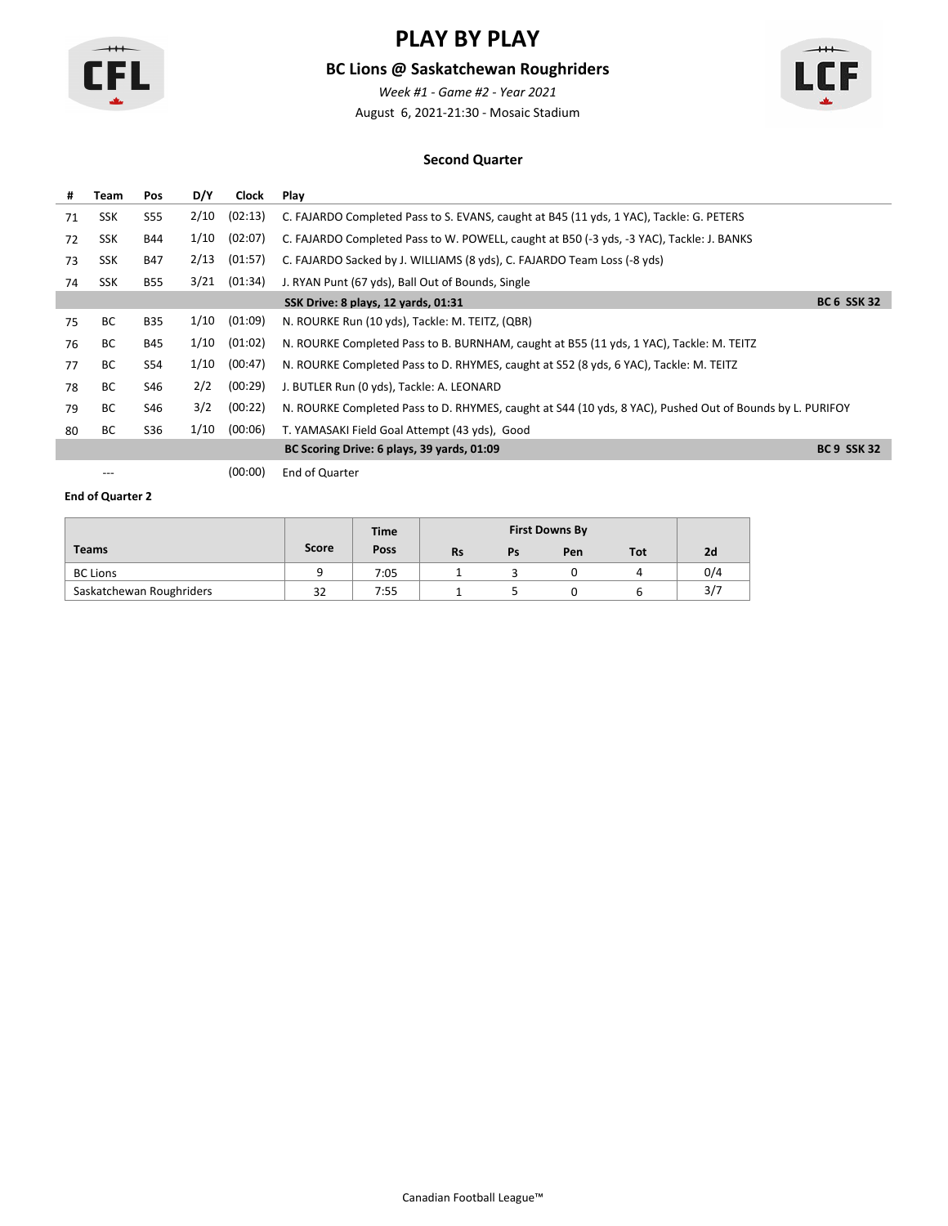

### **BC Lions @ Saskatchewan Roughriders**

August 6, 2021-21:30 - Mosaic Stadium *Week #1 - Game #2 - Year 2021*



#### **Second Quarter**

| #  | <b>Team</b> | Pos        | D/Y  | <b>Clock</b> | Play                                                                                                     |                    |
|----|-------------|------------|------|--------------|----------------------------------------------------------------------------------------------------------|--------------------|
| 71 | <b>SSK</b>  | <b>S55</b> | 2/10 | (02:13)      | C. FAJARDO Completed Pass to S. EVANS, caught at B45 (11 yds, 1 YAC), Tackle: G. PETERS                  |                    |
| 72 | <b>SSK</b>  | B44        | 1/10 | (02:07)      | C. FAJARDO Completed Pass to W. POWELL, caught at B50 (-3 yds, -3 YAC), Tackle: J. BANKS                 |                    |
| 73 | <b>SSK</b>  | <b>B47</b> | 2/13 | (01:57)      | C. FAJARDO Sacked by J. WILLIAMS (8 yds), C. FAJARDO Team Loss (-8 yds)                                  |                    |
| 74 | SSK         | B55        | 3/21 | (01:34)      | J. RYAN Punt (67 yds), Ball Out of Bounds, Single                                                        |                    |
|    |             |            |      |              | SSK Drive: 8 plays, 12 yards, 01:31                                                                      | <b>BC 6 SSK 32</b> |
| 75 | <b>BC</b>   | <b>B35</b> | 1/10 | (01:09)      | N. ROURKE Run (10 yds), Tackle: M. TEITZ, (QBR)                                                          |                    |
| 76 | BC.         | <b>B45</b> | 1/10 | (01:02)      | N. ROURKE Completed Pass to B. BURNHAM, caught at B55 (11 yds, 1 YAC), Tackle: M. TEITZ                  |                    |
| 77 | BC.         | S54        | 1/10 | (00:47)      | N. ROURKE Completed Pass to D. RHYMES, caught at S52 (8 yds, 6 YAC), Tackle: M. TEITZ                    |                    |
| 78 | BC.         | S46        | 2/2  | (00:29)      | J. BUTLER Run (0 yds), Tackle: A. LEONARD                                                                |                    |
| 79 | BC.         | S46        | 3/2  | (00:22)      | N. ROURKE Completed Pass to D. RHYMES, caught at S44 (10 yds, 8 YAC), Pushed Out of Bounds by L. PURIFOY |                    |
| 80 | BС          | S36        | 1/10 | (00:06)      | T. YAMASAKI Field Goal Attempt (43 yds), Good                                                            |                    |
|    |             |            |      |              | BC Scoring Drive: 6 plays, 39 yards, 01:09                                                               | <b>BC 9 SSK 32</b> |
|    | $---$       |            |      | (00:00)      | End of Quarter                                                                                           |                    |

|                          |       | <b>Time</b> |           |    | <b>First Downs By</b> |     |     |
|--------------------------|-------|-------------|-----------|----|-----------------------|-----|-----|
| <b>Teams</b>             | Score | Poss        | <b>Rs</b> | Ps | Pen                   | Tot | 2d  |
| <b>BC Lions</b>          |       | 7:05        |           |    |                       |     | 0/4 |
| Saskatchewan Roughriders | 32    | 7:55        |           |    |                       |     | 3/7 |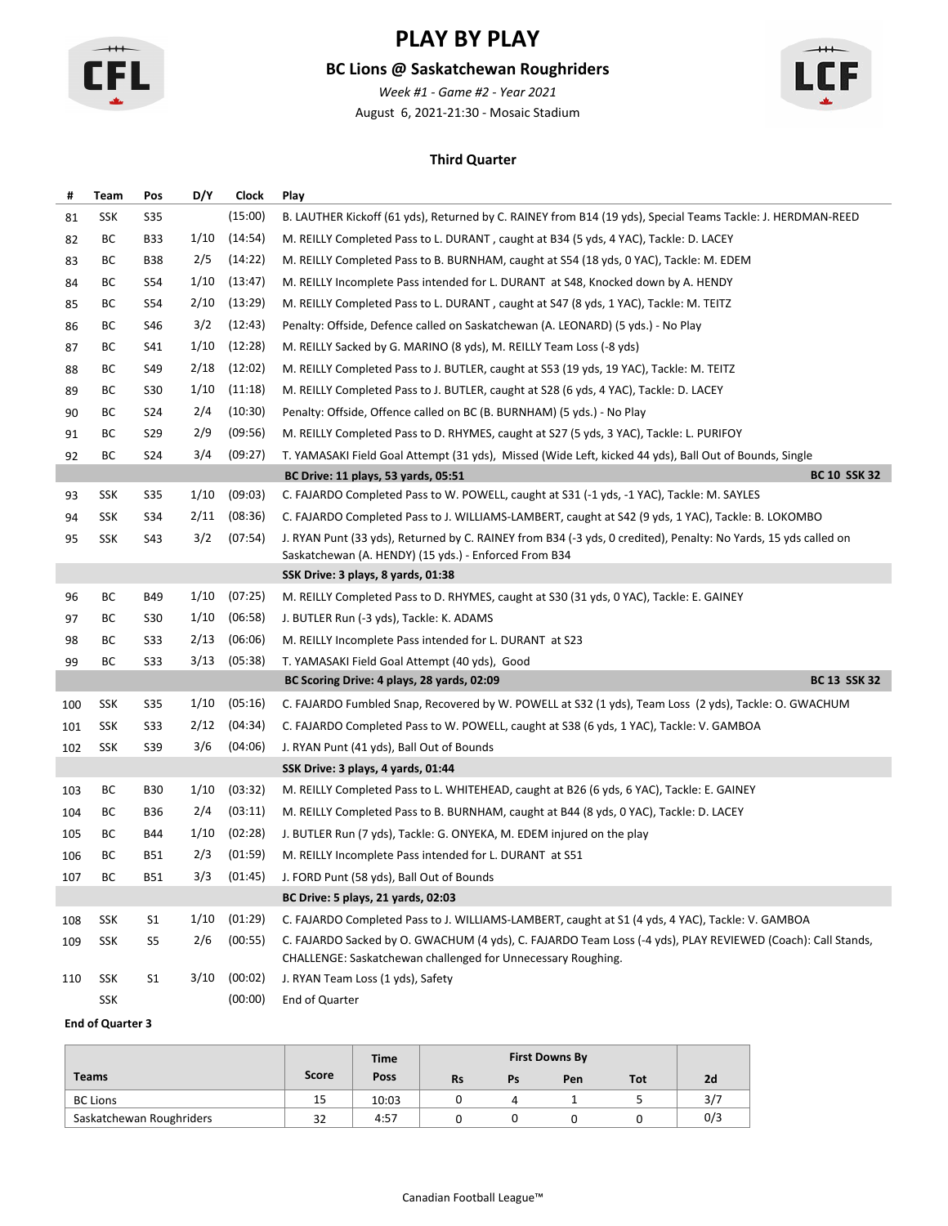

### **BC Lions @ Saskatchewan Roughriders**

August 6, 2021-21:30 - Mosaic Stadium *Week #1 - Game #2 - Year 2021*



#### **Third Quarter**

| Team | Pos            | D/Y  | Clock   | Play                                                                                                                                                                     |                                                                                   |  |  |  |  |  |
|------|----------------|------|---------|--------------------------------------------------------------------------------------------------------------------------------------------------------------------------|-----------------------------------------------------------------------------------|--|--|--|--|--|
| SSK  | <b>S35</b>     |      | (15:00) | B. LAUTHER Kickoff (61 yds), Returned by C. RAINEY from B14 (19 yds), Special Teams Tackle: J. HERDMAN-REED                                                              |                                                                                   |  |  |  |  |  |
| ВC   | B33            | 1/10 | (14:54) | M. REILLY Completed Pass to L. DURANT, caught at B34 (5 yds, 4 YAC), Tackle: D. LACEY                                                                                    |                                                                                   |  |  |  |  |  |
| ВC   | <b>B38</b>     | 2/5  | (14:22) | M. REILLY Completed Pass to B. BURNHAM, caught at S54 (18 yds, 0 YAC), Tackle: M. EDEM                                                                                   |                                                                                   |  |  |  |  |  |
| BС   | S54            | 1/10 | (13:47) |                                                                                                                                                                          |                                                                                   |  |  |  |  |  |
| ВC   | S54            | 2/10 | (13:29) | M. REILLY Completed Pass to L. DURANT, caught at S47 (8 yds, 1 YAC), Tackle: M. TEITZ                                                                                    |                                                                                   |  |  |  |  |  |
| ВC   | S46            | 3/2  | (12:43) | Penalty: Offside, Defence called on Saskatchewan (A. LEONARD) (5 yds.) - No Play                                                                                         |                                                                                   |  |  |  |  |  |
| BС   | S41            | 1/10 | (12:28) | M. REILLY Sacked by G. MARINO (8 yds), M. REILLY Team Loss (-8 yds)                                                                                                      |                                                                                   |  |  |  |  |  |
| ВC   | S49            | 2/18 | (12:02) | M. REILLY Completed Pass to J. BUTLER, caught at S53 (19 yds, 19 YAC), Tackle: M. TEITZ                                                                                  |                                                                                   |  |  |  |  |  |
| BС   | S30            | 1/10 | (11:18) | M. REILLY Completed Pass to J. BUTLER, caught at S28 (6 yds, 4 YAC), Tackle: D. LACEY                                                                                    |                                                                                   |  |  |  |  |  |
| BС   | S24            | 2/4  | (10:30) | Penalty: Offside, Offence called on BC (B. BURNHAM) (5 yds.) - No Play                                                                                                   |                                                                                   |  |  |  |  |  |
| BС   | S29            | 2/9  | (09:56) | M. REILLY Completed Pass to D. RHYMES, caught at S27 (5 yds, 3 YAC), Tackle: L. PURIFOY                                                                                  |                                                                                   |  |  |  |  |  |
| ВC   | S24            | 3/4  | (09:27) | T. YAMASAKI Field Goal Attempt (31 yds), Missed (Wide Left, kicked 44 yds), Ball Out of Bounds, Single                                                                   |                                                                                   |  |  |  |  |  |
|      |                |      |         | <b>BC 10 SSK 32</b><br>BC Drive: 11 plays, 53 yards, 05:51                                                                                                               |                                                                                   |  |  |  |  |  |
| SSK  | S35            | 1/10 | (09:03) | C. FAJARDO Completed Pass to W. POWELL, caught at S31 (-1 yds, -1 YAC), Tackle: M. SAYLES                                                                                |                                                                                   |  |  |  |  |  |
| SSK  | S34            | 2/11 | (08:36) | C. FAJARDO Completed Pass to J. WILLIAMS-LAMBERT, caught at S42 (9 yds, 1 YAC), Tackle: B. LOKOMBO                                                                       |                                                                                   |  |  |  |  |  |
| SSK  | S43            | 3/2  | (07:54) | J. RYAN Punt (33 yds), Returned by C. RAINEY from B34 (-3 yds, 0 credited), Penalty: No Yards, 15 yds called on<br>Saskatchewan (A. HENDY) (15 yds.) - Enforced From B34 |                                                                                   |  |  |  |  |  |
|      |                |      |         | SSK Drive: 3 plays, 8 yards, 01:38                                                                                                                                       |                                                                                   |  |  |  |  |  |
| ВC   | B49            | 1/10 | (07:25) | M. REILLY Completed Pass to D. RHYMES, caught at S30 (31 yds, 0 YAC), Tackle: E. GAINEY                                                                                  |                                                                                   |  |  |  |  |  |
| ВC   | S30            | 1/10 | (06:58) | J. BUTLER Run (-3 yds), Tackle: K. ADAMS                                                                                                                                 |                                                                                   |  |  |  |  |  |
| BС   | S33            | 2/13 | (06:06) | M. REILLY Incomplete Pass intended for L. DURANT at S23                                                                                                                  |                                                                                   |  |  |  |  |  |
| ВC   | S33            | 3/13 | (05:38) | T. YAMASAKI Field Goal Attempt (40 yds), Good                                                                                                                            |                                                                                   |  |  |  |  |  |
|      |                |      |         | <b>BC 13 SSK 32</b><br>BC Scoring Drive: 4 plays, 28 yards, 02:09                                                                                                        |                                                                                   |  |  |  |  |  |
| SSK  | S35            | 1/10 | (05:16) | C. FAJARDO Fumbled Snap, Recovered by W. POWELL at S32 (1 yds), Team Loss (2 yds), Tackle: O. GWACHUM                                                                    |                                                                                   |  |  |  |  |  |
| SSK  | S33            | 2/12 | (04:34) | C. FAJARDO Completed Pass to W. POWELL, caught at S38 (6 yds, 1 YAC), Tackle: V. GAMBOA                                                                                  |                                                                                   |  |  |  |  |  |
| SSK  | S39            | 3/6  | (04:06) | J. RYAN Punt (41 yds), Ball Out of Bounds                                                                                                                                |                                                                                   |  |  |  |  |  |
|      |                |      |         | SSK Drive: 3 plays, 4 yards, 01:44                                                                                                                                       |                                                                                   |  |  |  |  |  |
| ВC   | <b>B30</b>     | 1/10 | (03:32) | M. REILLY Completed Pass to L. WHITEHEAD, caught at B26 (6 yds, 6 YAC), Tackle: E. GAINEY                                                                                |                                                                                   |  |  |  |  |  |
| BС   | <b>B36</b>     | 2/4  | (03:11) | M. REILLY Completed Pass to B. BURNHAM, caught at B44 (8 yds, 0 YAC), Tackle: D. LACEY                                                                                   |                                                                                   |  |  |  |  |  |
| BС   | B44            | 1/10 | (02:28) | J. BUTLER Run (7 yds), Tackle: G. ONYEKA, M. EDEM injured on the play                                                                                                    |                                                                                   |  |  |  |  |  |
| BС   | B51            | 2/3  | (01:59) | M. REILLY Incomplete Pass intended for L. DURANT at S51                                                                                                                  |                                                                                   |  |  |  |  |  |
| BС   | B51            | 3/3  | (01:45) | J. FORD Punt (58 yds), Ball Out of Bounds                                                                                                                                |                                                                                   |  |  |  |  |  |
|      |                |      |         | BC Drive: 5 plays, 21 yards, 02:03                                                                                                                                       |                                                                                   |  |  |  |  |  |
| SSK  | S1             | 1/10 | (01:29) | C. FAJARDO Completed Pass to J. WILLIAMS-LAMBERT, caught at S1 (4 yds, 4 YAC), Tackle: V. GAMBOA                                                                         |                                                                                   |  |  |  |  |  |
| SSK  | S5             | 2/6  | (00:55) | C. FAJARDO Sacked by O. GWACHUM (4 yds), C. FAJARDO Team Loss (-4 yds), PLAY REVIEWED (Coach): Call Stands,                                                              |                                                                                   |  |  |  |  |  |
|      |                |      |         | CHALLENGE: Saskatchewan challenged for Unnecessary Roughing.                                                                                                             |                                                                                   |  |  |  |  |  |
| SSK  | S <sub>1</sub> | 3/10 | (00:02) | J. RYAN Team Loss (1 yds), Safety                                                                                                                                        |                                                                                   |  |  |  |  |  |
|      |                |      |         |                                                                                                                                                                          | M. REILLY Incomplete Pass intended for L. DURANT at S48, Knocked down by A. HENDY |  |  |  |  |  |

|                          |       | <b>Time</b> |           |    | <b>First Downs By</b> |            |     |
|--------------------------|-------|-------------|-----------|----|-----------------------|------------|-----|
| <b>Teams</b>             | Score | Poss        | <b>Rs</b> | Ps | Pen                   | <b>Tot</b> | 2d  |
| <b>BC Lions</b>          | 15    | 10:03       |           |    |                       |            | 3/7 |
| Saskatchewan Roughriders | 32    | 4:57        |           |    |                       |            | 0/3 |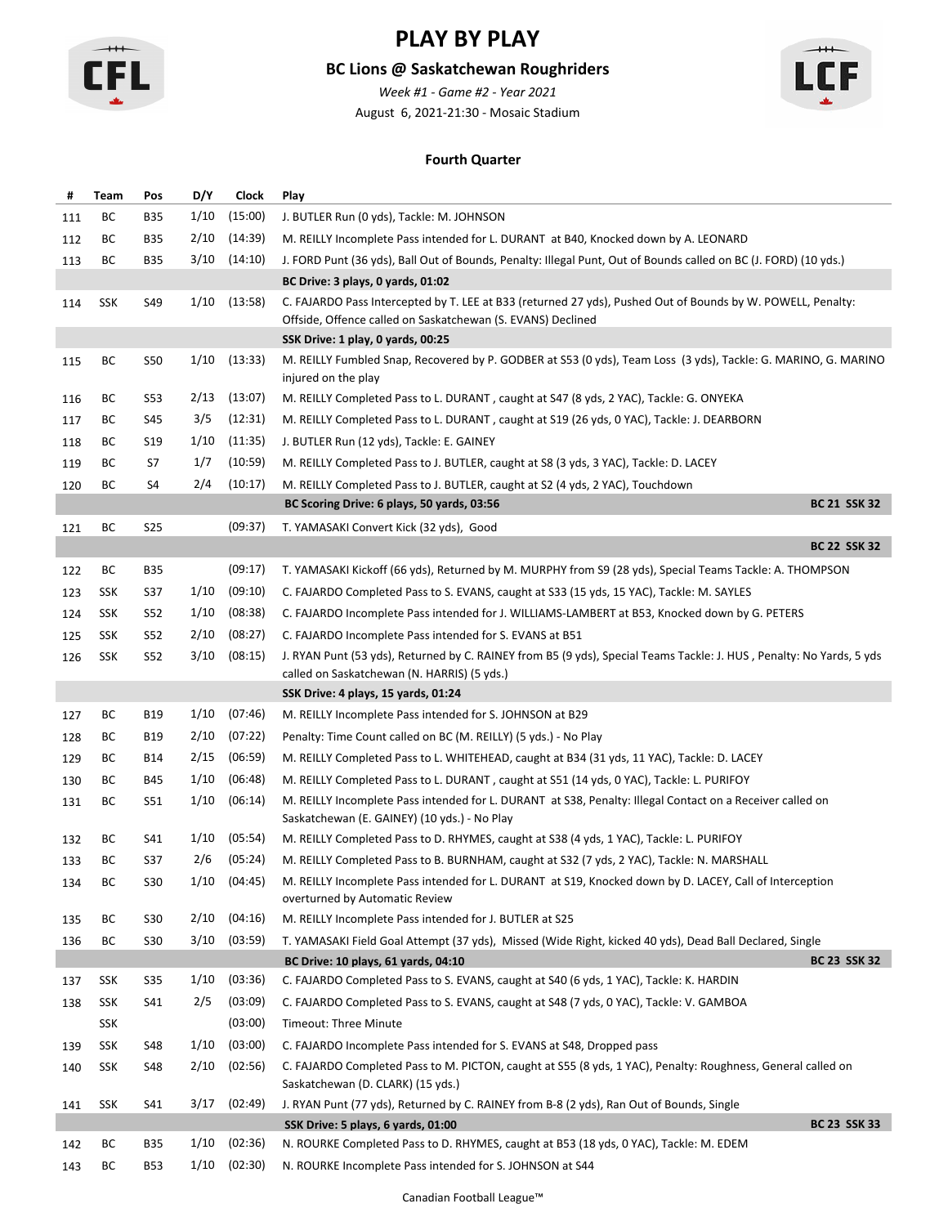

### **BC Lions @ Saskatchewan Roughriders**

August 6, 2021-21:30 - Mosaic Stadium *Week #1 - Game #2 - Year 2021*



#### **Fourth Quarter**

| #   | Team       | Pos        | D/Y  | <b>Clock</b>     | Play                                                                                                                                                                       |  |  |  |  |  |  |  |
|-----|------------|------------|------|------------------|----------------------------------------------------------------------------------------------------------------------------------------------------------------------------|--|--|--|--|--|--|--|
| 111 | ВC         | <b>B35</b> | 1/10 | (15:00)          | J. BUTLER Run (0 yds), Tackle: M. JOHNSON                                                                                                                                  |  |  |  |  |  |  |  |
| 112 | ВC         | <b>B35</b> | 2/10 | (14:39)          | M. REILLY Incomplete Pass intended for L. DURANT at B40, Knocked down by A. LEONARD                                                                                        |  |  |  |  |  |  |  |
| 113 | ВC         | B35        | 3/10 | (14:10)          | J. FORD Punt (36 yds), Ball Out of Bounds, Penalty: Illegal Punt, Out of Bounds called on BC (J. FORD) (10 yds.)                                                           |  |  |  |  |  |  |  |
|     |            |            |      |                  | BC Drive: 3 plays, 0 yards, 01:02                                                                                                                                          |  |  |  |  |  |  |  |
| 114 | <b>SSK</b> | S49        | 1/10 | (13:58)          | C. FAJARDO Pass Intercepted by T. LEE at B33 (returned 27 yds), Pushed Out of Bounds by W. POWELL, Penalty:<br>Offside, Offence called on Saskatchewan (S. EVANS) Declined |  |  |  |  |  |  |  |
|     |            |            |      |                  | SSK Drive: 1 play, 0 yards, 00:25                                                                                                                                          |  |  |  |  |  |  |  |
| 115 | ВC         | S50        | 1/10 | (13:33)          | M. REILLY Fumbled Snap, Recovered by P. GODBER at S53 (0 yds), Team Loss (3 yds), Tackle: G. MARINO, G. MARINO<br>injured on the play                                      |  |  |  |  |  |  |  |
| 116 | ВC         | S53        | 2/13 | (13:07)          | M. REILLY Completed Pass to L. DURANT, caught at S47 (8 yds, 2 YAC), Tackle: G. ONYEKA                                                                                     |  |  |  |  |  |  |  |
| 117 | ВC         | S45        | 3/5  | (12:31)          | M. REILLY Completed Pass to L. DURANT, caught at S19 (26 yds, 0 YAC), Tackle: J. DEARBORN                                                                                  |  |  |  |  |  |  |  |
| 118 | ВC         | S19        | 1/10 | (11:35)          | J. BUTLER Run (12 yds), Tackle: E. GAINEY                                                                                                                                  |  |  |  |  |  |  |  |
| 119 | BС         | S7         | 1/7  | (10:59)          | M. REILLY Completed Pass to J. BUTLER, caught at S8 (3 yds, 3 YAC), Tackle: D. LACEY                                                                                       |  |  |  |  |  |  |  |
| 120 | ВC         | S4         | 2/4  | (10:17)          | M. REILLY Completed Pass to J. BUTLER, caught at S2 (4 yds, 2 YAC), Touchdown                                                                                              |  |  |  |  |  |  |  |
|     |            |            |      |                  | <b>BC 21 SSK 32</b><br>BC Scoring Drive: 6 plays, 50 yards, 03:56                                                                                                          |  |  |  |  |  |  |  |
| 121 | ВC         | S25        |      | (09:37)          | T. YAMASAKI Convert Kick (32 yds), Good                                                                                                                                    |  |  |  |  |  |  |  |
|     |            |            |      |                  | <b>BC 22 SSK 32</b>                                                                                                                                                        |  |  |  |  |  |  |  |
| 122 | BC         | <b>B35</b> |      | (09:17)          | T. YAMASAKI Kickoff (66 yds), Returned by M. MURPHY from S9 (28 yds), Special Teams Tackle: A. THOMPSON                                                                    |  |  |  |  |  |  |  |
| 123 | SSK        | S37        | 1/10 | (09:10)          | C. FAJARDO Completed Pass to S. EVANS, caught at S33 (15 yds, 15 YAC), Tackle: M. SAYLES                                                                                   |  |  |  |  |  |  |  |
| 124 | <b>SSK</b> | S52        | 1/10 | (08:38)          | C. FAJARDO Incomplete Pass intended for J. WILLIAMS-LAMBERT at B53, Knocked down by G. PETERS                                                                              |  |  |  |  |  |  |  |
| 125 | SSK        | S52        | 2/10 | (08:27)          | C. FAJARDO Incomplete Pass intended for S. EVANS at B51                                                                                                                    |  |  |  |  |  |  |  |
| 126 | SSK        | <b>S52</b> | 3/10 | (08:15)          | J. RYAN Punt (53 yds), Returned by C. RAINEY from B5 (9 yds), Special Teams Tackle: J. HUS, Penalty: No Yards, 5 yds<br>called on Saskatchewan (N. HARRIS) (5 yds.)        |  |  |  |  |  |  |  |
|     |            |            |      |                  | SSK Drive: 4 plays, 15 yards, 01:24                                                                                                                                        |  |  |  |  |  |  |  |
| 127 | ВC         | <b>B19</b> | 1/10 | (07:46)          | M. REILLY Incomplete Pass intended for S. JOHNSON at B29                                                                                                                   |  |  |  |  |  |  |  |
| 128 | ВC         | B19        | 2/10 | (07:22)          | Penalty: Time Count called on BC (M. REILLY) (5 yds.) - No Play                                                                                                            |  |  |  |  |  |  |  |
| 129 | ВC         | B14        | 2/15 | (06:59)          | M. REILLY Completed Pass to L. WHITEHEAD, caught at B34 (31 yds, 11 YAC), Tackle: D. LACEY                                                                                 |  |  |  |  |  |  |  |
| 130 | ВC         | B45        | 1/10 | (06:48)          | M. REILLY Completed Pass to L. DURANT, caught at S51 (14 yds, 0 YAC), Tackle: L. PURIFOY                                                                                   |  |  |  |  |  |  |  |
| 131 | ВC         | S51        | 1/10 | (06:14)          | M. REILLY Incomplete Pass intended for L. DURANT at S38, Penalty: Illegal Contact on a Receiver called on<br>Saskatchewan (E. GAINEY) (10 yds.) - No Play                  |  |  |  |  |  |  |  |
| 132 | ВC         | S41        | 1/10 | (05:54)          | M. REILLY Completed Pass to D. RHYMES, caught at S38 (4 yds, 1 YAC), Tackle: L. PURIFOY                                                                                    |  |  |  |  |  |  |  |
| 133 | ВC         | S37        | 2/6  | (05:24)          | M. REILLY Completed Pass to B. BURNHAM, caught at S32 (7 yds, 2 YAC), Tackle: N. MARSHALL                                                                                  |  |  |  |  |  |  |  |
| 134 | ВC         | S30        |      | $1/10$ $(04:45)$ | M. REILLY Incomplete Pass intended for L. DURANT at S19, Knocked down by D. LACEY, Call of Interception<br>overturned by Automatic Review                                  |  |  |  |  |  |  |  |
| 135 | ВC         | S30        | 2/10 | (04:16)          | M. REILLY Incomplete Pass intended for J. BUTLER at S25                                                                                                                    |  |  |  |  |  |  |  |
| 136 | ВC         | S30        | 3/10 | (03:59)          | T. YAMASAKI Field Goal Attempt (37 yds), Missed (Wide Right, kicked 40 yds), Dead Ball Declared, Single                                                                    |  |  |  |  |  |  |  |
|     |            |            |      |                  | <b>BC 23 SSK 32</b><br>BC Drive: 10 plays, 61 yards, 04:10                                                                                                                 |  |  |  |  |  |  |  |
| 137 | SSK        | S35        | 1/10 | (03:36)          | C. FAJARDO Completed Pass to S. EVANS, caught at S40 (6 yds, 1 YAC), Tackle: K. HARDIN                                                                                     |  |  |  |  |  |  |  |
| 138 | SSK        | S41        | 2/5  | (03:09)          | C. FAJARDO Completed Pass to S. EVANS, caught at S48 (7 yds, 0 YAC), Tackle: V. GAMBOA                                                                                     |  |  |  |  |  |  |  |
|     | SSK        |            |      | (03:00)          | <b>Timeout: Three Minute</b>                                                                                                                                               |  |  |  |  |  |  |  |
| 139 | SSK        | S48        | 1/10 | (03:00)          | C. FAJARDO Incomplete Pass intended for S. EVANS at S48, Dropped pass                                                                                                      |  |  |  |  |  |  |  |
| 140 | SSK        | S48        | 2/10 | (02:56)          | C. FAJARDO Completed Pass to M. PICTON, caught at S55 (8 yds, 1 YAC), Penalty: Roughness, General called on<br>Saskatchewan (D. CLARK) (15 yds.)                           |  |  |  |  |  |  |  |
| 141 | SSK        | S41        | 3/17 | (02:49)          | J. RYAN Punt (77 yds), Returned by C. RAINEY from B-8 (2 yds), Ran Out of Bounds, Single                                                                                   |  |  |  |  |  |  |  |
|     |            |            |      |                  | <b>BC 23 SSK 33</b><br>SSK Drive: 5 plays, 6 yards, 01:00                                                                                                                  |  |  |  |  |  |  |  |
| 142 | ВC         | <b>B35</b> | 1/10 | (02:36)          | N. ROURKE Completed Pass to D. RHYMES, caught at B53 (18 yds, 0 YAC), Tackle: M. EDEM                                                                                      |  |  |  |  |  |  |  |
| 143 | BC         | B53        | 1/10 | (02:30)          | N. ROURKE Incomplete Pass intended for S. JOHNSON at S44                                                                                                                   |  |  |  |  |  |  |  |